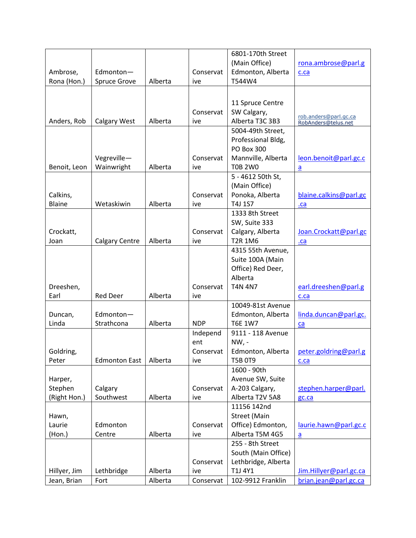|               |                       |         |            | 6801-170th Street   |                                              |
|---------------|-----------------------|---------|------------|---------------------|----------------------------------------------|
|               |                       |         |            | (Main Office)       | rona.ambrose@parl.g                          |
| Ambrose,      | Edmonton-             |         | Conservat  | Edmonton, Alberta   | c.ca                                         |
| Rona (Hon.)   | <b>Spruce Grove</b>   | Alberta | ive        | T544W4              |                                              |
|               |                       |         |            |                     |                                              |
|               |                       |         |            | 11 Spruce Centre    |                                              |
|               |                       |         | Conservat  | SW Calgary,         |                                              |
| Anders, Rob   | <b>Calgary West</b>   | Alberta | ive        | Alberta T3C 3B3     | rob.anders@parl.gc.ca<br>RobAnders@telus.net |
|               |                       |         |            | 5004-49th Street,   |                                              |
|               |                       |         |            | Professional Bldg,  |                                              |
|               |                       |         |            | <b>PO Box 300</b>   |                                              |
|               | Vegreville-           |         | Conservat  | Mannville, Alberta  | leon.benoit@parl.gc.c                        |
| Benoit, Leon  | Wainwright            | Alberta | ive        | <b>T0B 2W0</b>      | $\mathbf{a}$                                 |
|               |                       |         |            | 5 - 4612 50th St,   |                                              |
|               |                       |         |            | (Main Office)       |                                              |
| Calkins,      |                       |         | Conservat  | Ponoka, Alberta     | blaine.calkins@parl.gc                       |
| <b>Blaine</b> | Wetaskiwin            | Alberta | ive        | T4J 1S7             | .ca                                          |
|               |                       |         |            | 1333 8th Street     |                                              |
|               |                       |         |            | SW, Suite 333       |                                              |
| Crockatt,     |                       |         | Conservat  | Calgary, Alberta    | Joan.Crockatt@parl.gc                        |
| Joan          | <b>Calgary Centre</b> | Alberta | ive        | <b>T2R 1M6</b>      | $ca$                                         |
|               |                       |         |            | 4315 55th Avenue,   |                                              |
|               |                       |         |            | Suite 100A (Main    |                                              |
|               |                       |         |            | Office) Red Deer,   |                                              |
|               |                       |         |            | Alberta             |                                              |
| Dreeshen,     |                       |         | Conservat  | <b>T4N 4N7</b>      | earl.dreeshen@parl.g                         |
| Earl          | <b>Red Deer</b>       | Alberta | ive        |                     | c.ca                                         |
|               |                       |         |            | 10049-81st Avenue   |                                              |
| Duncan,       | Edmonton-             |         |            | Edmonton, Alberta   | linda.duncan@parl.gc.                        |
| Linda         | Strathcona            | Alberta | <b>NDP</b> | <b>T6E 1W7</b>      | ca                                           |
|               |                       |         | Independ   | 9111 - 118 Avenue   |                                              |
|               |                       |         | ent        | $NW, -$             |                                              |
| Goldring,     |                       |         | Conservat  | Edmonton, Alberta   | peter.goldring@parl.g                        |
| Peter         | <b>Edmonton East</b>  | Alberta | ive        | <b>T5B 0T9</b>      | c.ca                                         |
|               |                       |         |            | 1600 - 90th         |                                              |
| Harper,       |                       |         |            | Avenue SW, Suite    |                                              |
| Stephen       | Calgary               |         | Conservat  | A-203 Calgary,      | stephen.harper@parl.                         |
| (Right Hon.)  | Southwest             | Alberta | ive        | Alberta T2V 5A8     | gc.ca                                        |
|               |                       |         |            | 11156 142nd         |                                              |
| Hawn,         |                       |         |            | <b>Street (Main</b> |                                              |
| Laurie        | Edmonton              |         | Conservat  | Office) Edmonton,   | laurie.hawn@parl.gc.c                        |
| (Hon.)        | Centre                | Alberta | ive        | Alberta T5M 4G5     | $\mathbf{a}$                                 |
|               |                       |         |            | 255 - 8th Street    |                                              |
|               |                       |         |            | South (Main Office) |                                              |
|               |                       |         | Conservat  | Lethbridge, Alberta |                                              |
| Hillyer, Jim  | Lethbridge            | Alberta | ive        | T1J 4Y1             | Jim.Hillyer@parl.gc.ca                       |
| Jean, Brian   | Fort                  | Alberta | Conservat  | 102-9912 Franklin   | brian.jean@parl.gc.ca                        |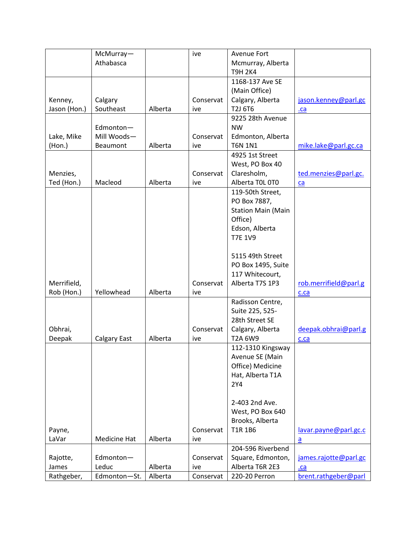|              | McMurray-    |         | ive       | Avenue Fort               |                       |
|--------------|--------------|---------|-----------|---------------------------|-----------------------|
|              | Athabasca    |         |           | Mcmurray, Alberta         |                       |
|              |              |         |           | <b>T9H 2K4</b>            |                       |
|              |              |         |           | 1168-137 Ave SE           |                       |
|              |              |         |           | (Main Office)             |                       |
| Kenney,      | Calgary      |         | Conservat | Calgary, Alberta          | jason.kenney@parl.gc  |
| Jason (Hon.) | Southeast    | Alberta | ive       | T2J 6T6                   | . <b>ca</b>           |
|              |              |         |           | 9225 28th Avenue          |                       |
|              | Edmonton-    |         |           | <b>NW</b>                 |                       |
| Lake, Mike   | Mill Woods-  |         | Conservat | Edmonton, Alberta         |                       |
| (Hon.)       | Beaumont     | Alberta | ive       | <b>T6N 1N1</b>            | mike.lake@parl.gc.ca  |
|              |              |         |           | 4925 1st Street           |                       |
|              |              |         |           | West, PO Box 40           |                       |
| Menzies,     |              |         | Conservat | Claresholm,               | ted.menzies@parl.gc.  |
| Ted (Hon.)   | Macleod      | Alberta | ive       | Alberta T0L 0T0           | ca                    |
|              |              |         |           | 119-50th Street,          |                       |
|              |              |         |           | PO Box 7887,              |                       |
|              |              |         |           | <b>Station Main (Main</b> |                       |
|              |              |         |           | Office)                   |                       |
|              |              |         |           | Edson, Alberta            |                       |
|              |              |         |           | <b>T7E 1V9</b>            |                       |
|              |              |         |           |                           |                       |
|              |              |         |           | 5115 49th Street          |                       |
|              |              |         |           | PO Box 1495, Suite        |                       |
|              |              |         |           | 117 Whitecourt,           |                       |
| Merrifield,  |              |         | Conservat | Alberta T7S 1P3           | rob.merrifield@parl.g |
| Rob (Hon.)   | Yellowhead   | Alberta | ive       |                           | c.ca                  |
|              |              |         |           | Radisson Centre,          |                       |
|              |              |         |           | Suite 225, 525-           |                       |
|              |              |         |           | 28th Street SE            |                       |
| Obhrai,      |              |         | Conservat | Calgary, Alberta          | deepak.obhrai@parl.g  |
| Deepak       | Calgary East | Alberta | ive       | T2A 6W9                   | c.ca                  |
|              |              |         |           | 112-1310 Kingsway         |                       |
|              |              |         |           | Avenue SE (Main           |                       |
|              |              |         |           | Office) Medicine          |                       |
|              |              |         |           | Hat, Alberta T1A          |                       |
|              |              |         |           | 2Y4                       |                       |
|              |              |         |           |                           |                       |
|              |              |         |           | 2-403 2nd Ave.            |                       |
|              |              |         |           | West, PO Box 640          |                       |
|              |              |         |           | Brooks, Alberta           |                       |
| Payne,       |              |         | Conservat | T1R 1B6                   | lavar.payne@parl.gc.c |
| LaVar        | Medicine Hat | Alberta | ive       |                           | $\underline{a}$       |
|              |              |         |           | 204-596 Riverbend         |                       |
| Rajotte,     | Edmonton-    |         | Conservat | Square, Edmonton,         | james.rajotte@parl.gc |
| James        | Leduc        | Alberta | ive       | Alberta T6R 2E3           | .ca                   |
| Rathgeber,   | Edmonton-St. | Alberta | Conservat | 220-20 Perron             | brent.rathgeber@parl  |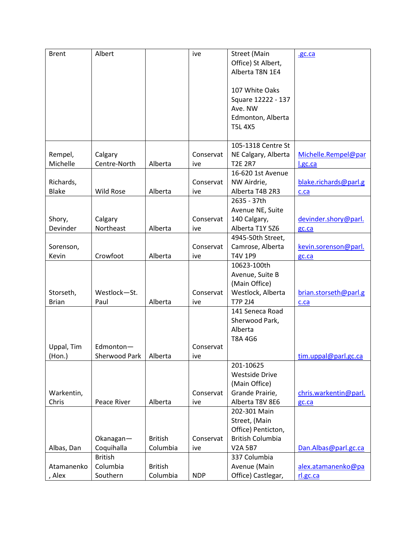| <b>Brent</b> | Albert           |                | ive        | <b>Street (Main</b>     | .gc.ca                |
|--------------|------------------|----------------|------------|-------------------------|-----------------------|
|              |                  |                |            | Office) St Albert,      |                       |
|              |                  |                |            | Alberta T8N 1E4         |                       |
|              |                  |                |            |                         |                       |
|              |                  |                |            | 107 White Oaks          |                       |
|              |                  |                |            | Square 12222 - 137      |                       |
|              |                  |                |            | Ave. NW                 |                       |
|              |                  |                |            | Edmonton, Alberta       |                       |
|              |                  |                |            | <b>T5L 4X5</b>          |                       |
|              |                  |                |            | 105-1318 Centre St      |                       |
| Rempel,      | Calgary          |                | Conservat  | NE Calgary, Alberta     | Michelle.Rempel@par   |
| Michelle     | Centre-North     | Alberta        | ive        | <b>T2E 2R7</b>          | l.gc.ca               |
|              |                  |                |            | 16-620 1st Avenue       |                       |
| Richards,    |                  |                | Conservat  | NW Airdrie,             | blake.richards@parl.g |
| <b>Blake</b> | <b>Wild Rose</b> | Alberta        | ive        | Alberta T4B 2R3         | c.ca                  |
|              |                  |                |            | 2635 - 37th             |                       |
|              |                  |                |            | Avenue NE, Suite        |                       |
| Shory,       | Calgary          |                | Conservat  | 140 Calgary,            | devinder.shory@parl.  |
| Devinder     | Northeast        | Alberta        | ive        | Alberta T1Y 5Z6         | gc.ca                 |
|              |                  |                |            | 4945-50th Street,       |                       |
| Sorenson,    |                  |                | Conservat  | Camrose, Alberta        | kevin.sorenson@parl.  |
| Kevin        | Crowfoot         | Alberta        | ive        | <b>T4V 1P9</b>          | gc.ca                 |
|              |                  |                |            | 10623-100th             |                       |
|              |                  |                |            | Avenue, Suite B         |                       |
|              |                  |                |            | (Main Office)           |                       |
| Storseth,    | Westlock-St.     |                | Conservat  | Westlock, Alberta       | brian.storseth@parl.g |
| <b>Brian</b> | Paul             | Alberta        | ive        | <b>T7P 2J4</b>          | c.ca                  |
|              |                  |                |            | 141 Seneca Road         |                       |
|              |                  |                |            | Sherwood Park,          |                       |
|              |                  |                |            | Alberta                 |                       |
|              |                  |                |            | T8A 4G6                 |                       |
| Uppal, Tim   | Edmonton-        |                | Conservat  |                         |                       |
| (Hon.)       | Sherwood Park    | Alberta        | ive        |                         | tim.uppal@parl.gc.ca  |
|              |                  |                |            | 201-10625               |                       |
|              |                  |                |            | <b>Westside Drive</b>   |                       |
|              |                  |                |            | (Main Office)           |                       |
| Warkentin,   |                  |                | Conservat  | Grande Prairie,         | chris.warkentin@parl. |
| Chris        | Peace River      | Alberta        | ive        | Alberta T8V 8E6         | gc.ca                 |
|              |                  |                |            | 202-301 Main            |                       |
|              |                  |                |            | Street, (Main           |                       |
|              |                  |                |            | Office) Penticton,      |                       |
|              | Okanagan-        | <b>British</b> | Conservat  | <b>British Columbia</b> |                       |
| Albas, Dan   | Coquihalla       | Columbia       | ive        | <b>V2A 5B7</b>          | Dan.Albas@parl.gc.ca  |
|              | <b>British</b>   |                |            | 337 Columbia            |                       |
| Atamanenko   | Columbia         | <b>British</b> |            | Avenue (Main            | alex.atamanenko@pa    |
| Alex         | Southern         | Columbia       | <b>NDP</b> | Office) Castlegar,      | rl.gc.ca              |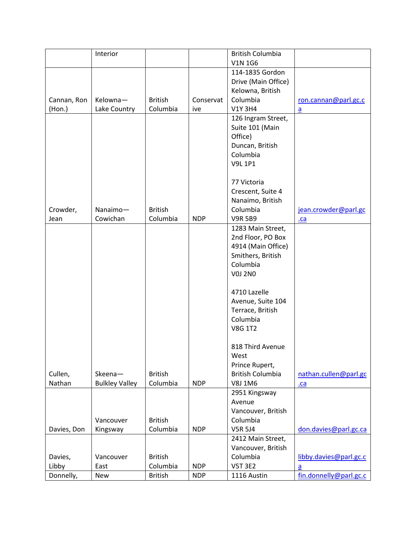|             | Interior              |                |            | <b>British Columbia</b> |                        |
|-------------|-----------------------|----------------|------------|-------------------------|------------------------|
|             |                       |                |            | <b>V1N 1G6</b>          |                        |
|             |                       |                |            | 114-1835 Gordon         |                        |
|             |                       |                |            | Drive (Main Office)     |                        |
|             |                       |                |            | Kelowna, British        |                        |
| Cannan, Ron | Kelowna-              | <b>British</b> | Conservat  | Columbia                | ron.cannan@parl.gc.c   |
| (Hon.)      | Lake Country          | Columbia       | ive        | <b>V1Y 3H4</b>          | $\underline{a}$        |
|             |                       |                |            | 126 Ingram Street,      |                        |
|             |                       |                |            | Suite 101 (Main         |                        |
|             |                       |                |            | Office)                 |                        |
|             |                       |                |            | Duncan, British         |                        |
|             |                       |                |            | Columbia                |                        |
|             |                       |                |            | <b>V9L 1P1</b>          |                        |
|             |                       |                |            |                         |                        |
|             |                       |                |            |                         |                        |
|             |                       |                |            | 77 Victoria             |                        |
|             |                       |                |            | Crescent, Suite 4       |                        |
|             |                       |                |            | Nanaimo, British        |                        |
| Crowder,    | Nanaimo-              | <b>British</b> |            | Columbia                | jean.crowder@parl.gc   |
| Jean        | Cowichan              | Columbia       | <b>NDP</b> | <b>V9R 5B9</b>          | $ca$                   |
|             |                       |                |            | 1283 Main Street,       |                        |
|             |                       |                |            | 2nd Floor, PO Box       |                        |
|             |                       |                |            | 4914 (Main Office)      |                        |
|             |                       |                |            | Smithers, British       |                        |
|             |                       |                |            | Columbia                |                        |
|             |                       |                |            | <b>V0J 2N0</b>          |                        |
|             |                       |                |            | 4710 Lazelle            |                        |
|             |                       |                |            | Avenue, Suite 104       |                        |
|             |                       |                |            | Terrace, British        |                        |
|             |                       |                |            | Columbia                |                        |
|             |                       |                |            | <b>V8G 1T2</b>          |                        |
|             |                       |                |            |                         |                        |
|             |                       |                |            | 818 Third Avenue        |                        |
|             |                       |                |            | West                    |                        |
|             |                       |                |            | Prince Rupert,          |                        |
| Cullen,     | Skeena-               | <b>British</b> |            | <b>British Columbia</b> | nathan.cullen@parl.gc  |
| Nathan      | <b>Bulkley Valley</b> | Columbia       | <b>NDP</b> | V8J 1M6                 | .ca                    |
|             |                       |                |            | 2951 Kingsway           |                        |
|             |                       |                |            | Avenue                  |                        |
|             |                       |                |            | Vancouver, British      |                        |
|             | Vancouver             | <b>British</b> |            | Columbia                |                        |
| Davies, Don | Kingsway              | Columbia       | <b>NDP</b> | <b>V5R 5J4</b>          | don.davies@parl.gc.ca  |
|             |                       |                |            | 2412 Main Street,       |                        |
|             |                       |                |            | Vancouver, British      |                        |
| Davies,     | Vancouver             | <b>British</b> |            | Columbia                | libby.davies@parl.gc.c |
| Libby       | East                  | Columbia       | <b>NDP</b> | <b>V5T 3E2</b>          |                        |
|             |                       |                | <b>NDP</b> |                         | a                      |
| Donnelly,   | <b>New</b>            | <b>British</b> |            | 1116 Austin             | fin.donnelly@parl.gc.c |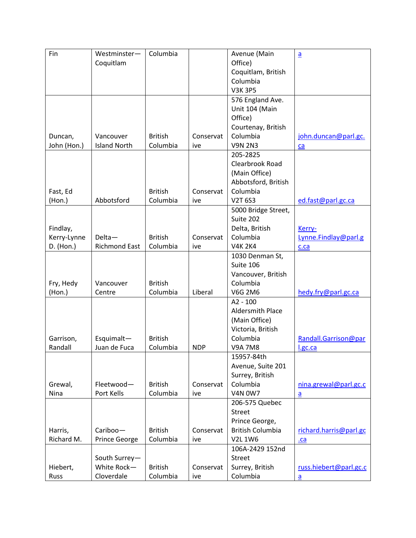| Fin         | Westminster-         | Columbia       |            | Avenue (Main            | $\underline{a}$        |
|-------------|----------------------|----------------|------------|-------------------------|------------------------|
|             | Coquitlam            |                |            | Office)                 |                        |
|             |                      |                |            | Coquitlam, British      |                        |
|             |                      |                |            | Columbia                |                        |
|             |                      |                |            | <b>V3K 3P5</b>          |                        |
|             |                      |                |            | 576 England Ave.        |                        |
|             |                      |                |            | Unit 104 (Main          |                        |
|             |                      |                |            | Office)                 |                        |
|             |                      |                |            | Courtenay, British      |                        |
| Duncan,     | Vancouver            | <b>British</b> | Conservat  | Columbia                | john.duncan@parl.gc.   |
| John (Hon.) | <b>Island North</b>  | Columbia       | ive        | <b>V9N 2N3</b>          | ca                     |
|             |                      |                |            | 205-2825                |                        |
|             |                      |                |            | Clearbrook Road         |                        |
|             |                      |                |            | (Main Office)           |                        |
|             |                      |                |            | Abbotsford, British     |                        |
| Fast, Ed    |                      | <b>British</b> | Conservat  | Columbia                |                        |
| (Hon.)      | Abbotsford           | Columbia       | ive        | <b>V2T 6S3</b>          | ed.fast@parl.gc.ca     |
|             |                      |                |            | 5000 Bridge Street,     |                        |
|             |                      |                |            | Suite 202               |                        |
| Findlay,    |                      |                |            | Delta, British          | Kerry-                 |
| Kerry-Lynne | Delta-               | <b>British</b> | Conservat  | Columbia                | Lynne.Findlay@parl.g   |
| D. (Hon.)   | <b>Richmond East</b> | Columbia       | ive        | <b>V4K 2K4</b>          | c.ca                   |
|             |                      |                |            | 1030 Denman St,         |                        |
|             |                      |                |            | Suite 106               |                        |
|             |                      |                |            | Vancouver, British      |                        |
| Fry, Hedy   | Vancouver            | <b>British</b> |            | Columbia                |                        |
| (Hon.)      | Centre               | Columbia       | Liberal    | <b>V6G 2M6</b>          | hedy.fry@parl.gc.ca    |
|             |                      |                |            | $A2 - 100$              |                        |
|             |                      |                |            | Aldersmith Place        |                        |
|             |                      |                |            | (Main Office)           |                        |
|             |                      |                |            | Victoria, British       |                        |
| Garrison,   | Esquimalt-           | <b>British</b> |            | Columbia                | Randall.Garrison@par   |
| Randall     | Juan de Fuca         | Columbia       | <b>NDP</b> | <b>V9A 7M8</b>          | l.gc.ca                |
|             |                      |                |            | 15957-84th              |                        |
|             |                      |                |            | Avenue, Suite 201       |                        |
|             |                      |                |            | Surrey, British         |                        |
| Grewal,     | Fleetwood-           | <b>British</b> | Conservat  | Columbia                | nina.grewal@parl.gc.c  |
| Nina        | Port Kells           | Columbia       | ive        | <b>V4N 0W7</b>          | a                      |
|             |                      |                |            | 206-575 Quebec          |                        |
|             |                      |                |            | <b>Street</b>           |                        |
|             |                      |                |            | Prince George,          |                        |
| Harris,     | Cariboo-             | <b>British</b> | Conservat  | <b>British Columbia</b> | richard.harris@parl.gc |
| Richard M.  | Prince George        | Columbia       | ive        | V2L 1W6                 | .ca                    |
|             |                      |                |            | 106A-2429 152nd         |                        |
|             | South Surrey-        |                |            | <b>Street</b>           |                        |
| Hiebert,    | White Rock-          | <b>British</b> | Conservat  | Surrey, British         | russ.hiebert@parl.gc.c |
| Russ        | Cloverdale           | Columbia       | ive        | Columbia                | $\underline{a}$        |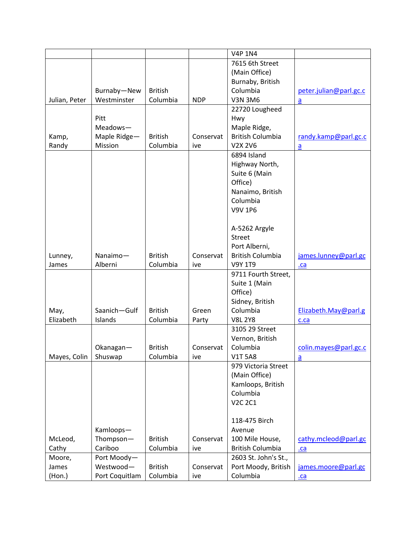|               |                |                |            | <b>V4P 1N4</b>          |                        |
|---------------|----------------|----------------|------------|-------------------------|------------------------|
|               |                |                |            | 7615 6th Street         |                        |
|               |                |                |            | (Main Office)           |                        |
|               |                |                |            | Burnaby, British        |                        |
|               | Burnaby-New    | <b>British</b> |            | Columbia                | peter.julian@parl.gc.c |
| Julian, Peter | Westminster    | Columbia       | <b>NDP</b> | <b>V3N 3M6</b>          | $\underline{a}$        |
|               |                |                |            | 22720 Lougheed          |                        |
|               | Pitt           |                |            | Hwy                     |                        |
|               | Meadows-       |                |            | Maple Ridge,            |                        |
| Kamp,         | Maple Ridge-   | <b>British</b> | Conservat  | <b>British Columbia</b> | randy.kamp@parl.gc.c   |
| Randy         | Mission        | Columbia       | ive        | V2X 2V6                 | $\underline{a}$        |
|               |                |                |            | 6894 Island             |                        |
|               |                |                |            | Highway North,          |                        |
|               |                |                |            | Suite 6 (Main           |                        |
|               |                |                |            | Office)                 |                        |
|               |                |                |            | Nanaimo, British        |                        |
|               |                |                |            | Columbia                |                        |
|               |                |                |            | <b>V9V 1P6</b>          |                        |
|               |                |                |            |                         |                        |
|               |                |                |            | A-5262 Argyle           |                        |
|               |                |                |            | <b>Street</b>           |                        |
|               |                |                |            | Port Alberni,           |                        |
| Lunney,       | Nanaimo-       | <b>British</b> | Conservat  | <b>British Columbia</b> | james.lunney@parl.gc   |
| James         | Alberni        | Columbia       | ive        | V9Y 1T9                 | .ca                    |
|               |                |                |            | 9711 Fourth Street,     |                        |
|               |                |                |            | Suite 1 (Main           |                        |
|               |                |                |            | Office)                 |                        |
|               |                |                |            | Sidney, British         |                        |
| May,          | Saanich-Gulf   | <b>British</b> | Green      | Columbia                | Elizabeth.May@parl.g   |
| Elizabeth     | Islands        | Columbia       | Party      | <b>V8L 2Y8</b>          | c.ca                   |
|               |                |                |            | 3105 29 Street          |                        |
|               |                |                |            | Vernon, British         |                        |
|               | Okanagan-      | <b>British</b> | Conservat  | Columbia                | colin.mayes@parl.gc.c  |
| Mayes, Colin  | Shuswap        | Columbia       | ive        | <b>V1T 5A8</b>          | a                      |
|               |                |                |            | 979 Victoria Street     |                        |
|               |                |                |            | (Main Office)           |                        |
|               |                |                |            | Kamloops, British       |                        |
|               |                |                |            | Columbia                |                        |
|               |                |                |            | <b>V2C 2C1</b>          |                        |
|               |                |                |            |                         |                        |
|               |                |                |            | 118-475 Birch           |                        |
|               | Kamloops-      |                |            | Avenue                  |                        |
| McLeod,       | Thompson-      | <b>British</b> | Conservat  | 100 Mile House,         | cathy.mcleod@parl.gc   |
| Cathy         | Cariboo        | Columbia       | ive        | <b>British Columbia</b> | $ca$                   |
| Moore,        | Port Moody-    |                |            | 2603 St. John's St.,    |                        |
| James         | Westwood-      | <b>British</b> | Conservat  | Port Moody, British     | james.moore@parl.gc    |
| (Hon.)        | Port Coquitlam | Columbia       | ive        | Columbia                | $ca$                   |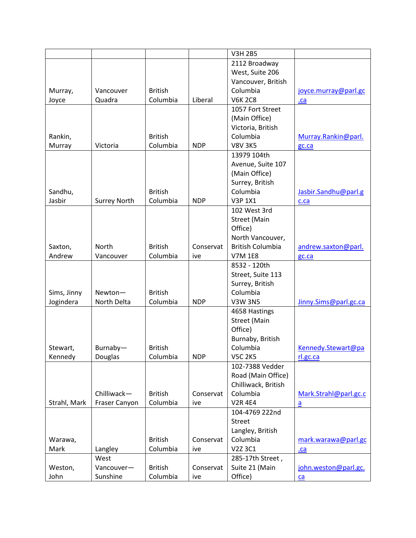|              |                     |                |            | <b>V3H 2B5</b>          |                       |
|--------------|---------------------|----------------|------------|-------------------------|-----------------------|
|              |                     |                |            | 2112 Broadway           |                       |
|              |                     |                |            | West, Suite 206         |                       |
|              |                     |                |            | Vancouver, British      |                       |
| Murray,      | Vancouver           | <b>British</b> |            | Columbia                | joyce.murray@parl.gc  |
| Joyce        | Quadra              | Columbia       | Liberal    | <b>V6K 2C8</b>          | .ca                   |
|              |                     |                |            | 1057 Fort Street        |                       |
|              |                     |                |            | (Main Office)           |                       |
|              |                     |                |            | Victoria, British       |                       |
| Rankin,      |                     | <b>British</b> |            | Columbia                | Murray.Rankin@parl.   |
| Murray       | Victoria            | Columbia       | <b>NDP</b> | <b>V8V 3K5</b>          | gc.ca                 |
|              |                     |                |            | 13979 104th             |                       |
|              |                     |                |            | Avenue, Suite 107       |                       |
|              |                     |                |            | (Main Office)           |                       |
|              |                     |                |            | Surrey, British         |                       |
| Sandhu,      |                     | <b>British</b> |            | Columbia                | Jasbir.Sandhu@parl.g  |
| Jasbir       | <b>Surrey North</b> | Columbia       | <b>NDP</b> | <b>V3P 1X1</b>          | c.ca                  |
|              |                     |                |            | 102 West 3rd            |                       |
|              |                     |                |            | <b>Street (Main</b>     |                       |
|              |                     |                |            | Office)                 |                       |
|              |                     |                |            | North Vancouver,        |                       |
|              | North               | <b>British</b> | Conservat  | <b>British Columbia</b> |                       |
| Saxton,      |                     |                |            |                         | andrew.saxton@parl.   |
| Andrew       | Vancouver           | Columbia       | ive        | <b>V7M 1E8</b>          | gc.ca                 |
|              |                     |                |            | 8532 - 120th            |                       |
|              |                     |                |            | Street, Suite 113       |                       |
|              |                     |                |            | Surrey, British         |                       |
| Sims, Jinny  | Newton-             | <b>British</b> |            | Columbia                |                       |
| Jogindera    | North Delta         | Columbia       | <b>NDP</b> | <b>V3W 3N5</b>          | Jinny.Sims@parl.gc.ca |
|              |                     |                |            | 4658 Hastings           |                       |
|              |                     |                |            | <b>Street (Main</b>     |                       |
|              |                     |                |            | Office)                 |                       |
|              |                     |                |            | Burnaby, British        |                       |
| Stewart,     | Burnaby-            | <b>British</b> |            | Columbia                | Kennedy.Stewart@pa    |
| Kennedy      | Douglas             | Columbia       | <b>NDP</b> | <b>V5C 2K5</b>          | rl.gc.ca              |
|              |                     |                |            | 102-7388 Vedder         |                       |
|              |                     |                |            | Road (Main Office)      |                       |
|              |                     |                |            | Chilliwack, British     |                       |
|              | Chilliwack-         | <b>British</b> | Conservat  | Columbia                | Mark.Strahl@parl.gc.c |
| Strahl, Mark | Fraser Canyon       | Columbia       | ive        | <b>V2R 4E4</b>          | $\underline{a}$       |
|              |                     |                |            | 104-4769 222nd          |                       |
|              |                     |                |            | <b>Street</b>           |                       |
|              |                     |                |            | Langley, British        |                       |
| Warawa,      |                     | <b>British</b> | Conservat  | Columbia                | mark.warawa@parl.gc   |
| Mark         | Langley             | Columbia       | ive        | V2Z 3C1                 | .ca                   |
|              | West                |                |            | 285-17th Street,        |                       |
| Weston,      | Vancouver-          | <b>British</b> | Conservat  | Suite 21 (Main          | john.weston@parl.gc.  |
| John         | Sunshine            | Columbia       | ive        | Office)                 | ca                    |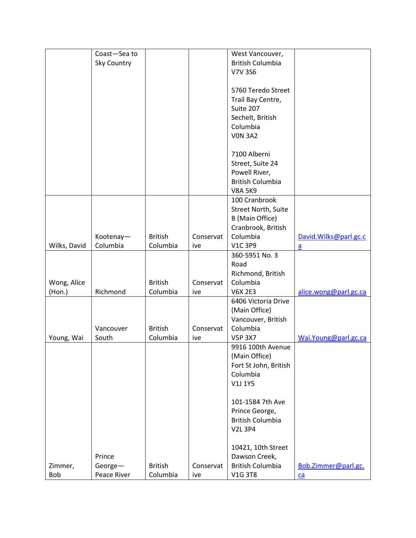|              | Coast-Sea to |                |           | West Vancouver,         |                       |
|--------------|--------------|----------------|-----------|-------------------------|-----------------------|
|              | Sky Country  |                |           | <b>British Columbia</b> |                       |
|              |              |                |           | <b>V7V 3S6</b>          |                       |
|              |              |                |           |                         |                       |
|              |              |                |           | 5760 Teredo Street      |                       |
|              |              |                |           | Trail Bay Centre,       |                       |
|              |              |                |           | Suite 207               |                       |
|              |              |                |           | Sechelt, British        |                       |
|              |              |                |           | Columbia                |                       |
|              |              |                |           | <b>VON 3A2</b>          |                       |
|              |              |                |           |                         |                       |
|              |              |                |           | 7100 Alberni            |                       |
|              |              |                |           | Street, Suite 24        |                       |
|              |              |                |           | Powell River,           |                       |
|              |              |                |           | <b>British Columbia</b> |                       |
|              |              |                |           | <b>V8A 5K9</b>          |                       |
|              |              |                |           | 100 Cranbrook           |                       |
|              |              |                |           | Street North, Suite     |                       |
|              |              |                |           | B (Main Office)         |                       |
|              |              |                |           | Cranbrook, British      |                       |
|              | Kootenay-    | <b>British</b> | Conservat | Columbia                | David.Wilks@parl.gc.c |
| Wilks, David | Columbia     | Columbia       | ive       | <b>V1C 3P9</b>          | $\mathsf{a}$          |
|              |              |                |           | 360-5951 No. 3          |                       |
|              |              |                |           | Road                    |                       |
|              |              |                |           | Richmond, British       |                       |
| Wong, Alice  |              | <b>British</b> | Conservat | Columbia                |                       |
| (Hon.)       | Richmond     | Columbia       | ive       | <b>V6X 2E3</b>          | alice.wong@parl.gc.ca |
|              |              |                |           | 6406 Victoria Drive     |                       |
|              |              |                |           | (Main Office)           |                       |
|              |              |                |           | Vancouver, British      |                       |
|              | Vancouver    | <b>British</b> | Conservat | Columbia                |                       |
| Young, Wai   | South        | Columbia       | ive       | <b>V5P 3X7</b>          | Wai.Young@parl.gc.ca  |
|              |              |                |           | 9916 100th Avenue       |                       |
|              |              |                |           | (Main Office)           |                       |
|              |              |                |           | Fort St John, British   |                       |
|              |              |                |           | Columbia                |                       |
|              |              |                |           | V1J 1Y5                 |                       |
|              |              |                |           |                         |                       |
|              |              |                |           | 101-1584 7th Ave        |                       |
|              |              |                |           | Prince George,          |                       |
|              |              |                |           | <b>British Columbia</b> |                       |
|              |              |                |           | <b>V2L 3P4</b>          |                       |
|              |              |                |           |                         |                       |
|              |              |                |           | 10421, 10th Street      |                       |
|              | Prince       |                |           | Dawson Creek,           |                       |
| Zimmer,      | George-      | <b>British</b> | Conservat | <b>British Columbia</b> | Bob.Zimmer@parl.gc.   |
| Bob          | Peace River  | Columbia       | ive       | <b>V1G 3T8</b>          | $ca$                  |
|              |              |                |           |                         |                       |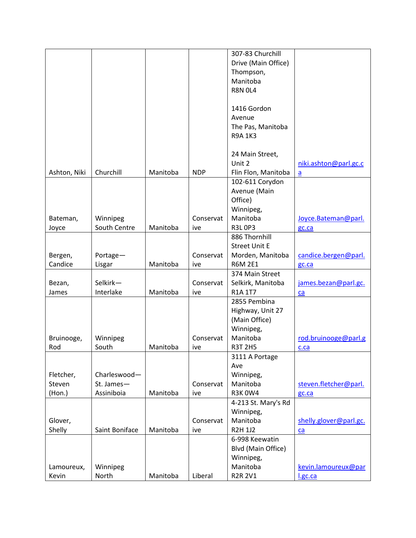|              |                |          |            | 307-83 Churchill     |                        |
|--------------|----------------|----------|------------|----------------------|------------------------|
|              |                |          |            |                      |                        |
|              |                |          |            | Drive (Main Office)  |                        |
|              |                |          |            | Thompson,            |                        |
|              |                |          |            | Manitoba             |                        |
|              |                |          |            | <b>R8N 0L4</b>       |                        |
|              |                |          |            | 1416 Gordon          |                        |
|              |                |          |            | Avenue               |                        |
|              |                |          |            |                      |                        |
|              |                |          |            | The Pas, Manitoba    |                        |
|              |                |          |            | <b>R9A 1K3</b>       |                        |
|              |                |          |            | 24 Main Street,      |                        |
|              |                |          |            | Unit 2               | niki.ashton@parl.gc.c  |
| Ashton, Niki | Churchill      | Manitoba | <b>NDP</b> | Flin Flon, Manitoba  | $\overline{a}$         |
|              |                |          |            | 102-611 Corydon      |                        |
|              |                |          |            | Avenue (Main         |                        |
|              |                |          |            | Office)              |                        |
|              |                |          |            | Winnipeg,            |                        |
| Bateman,     | Winnipeg       |          | Conservat  | Manitoba             | Joyce.Bateman@parl.    |
|              | South Centre   | Manitoba |            | <b>R3L0P3</b>        |                        |
| Joyce        |                |          | ive        | 886 Thornhill        | gc.ca                  |
|              |                |          |            |                      |                        |
|              |                |          |            | <b>Street Unit E</b> |                        |
| Bergen,      | Portage-       |          | Conservat  | Morden, Manitoba     | candice.bergen@parl.   |
| Candice      | Lisgar         | Manitoba | ive        | <b>R6M 2E1</b>       | gc.ca                  |
|              |                |          |            | 374 Main Street      |                        |
| Bezan,       | Selkirk-       |          | Conservat  | Selkirk, Manitoba    | james.bezan@parl.gc.   |
| James        | Interlake      | Manitoba | ive        | R1A 1T7              | ca                     |
|              |                |          |            | 2855 Pembina         |                        |
|              |                |          |            | Highway, Unit 27     |                        |
|              |                |          |            | (Main Office)        |                        |
|              |                |          |            | Winnipeg,            |                        |
| Bruinooge,   | Winnipeg       |          | Conservat  | Manitoba             | rod.bruinooge@parl.g   |
| Rod          | South          | Manitoba | ive        | <b>R3T 2H5</b>       | c.ca                   |
|              |                |          |            | 3111 A Portage       |                        |
|              |                |          |            | Ave                  |                        |
| Fletcher,    | Charleswood-   |          |            | Winnipeg,            |                        |
| Steven       | St. James-     |          | Conservat  | Manitoba             | steven.fletcher@parl.  |
| (Hon.)       | Assiniboia     | Manitoba | ive        | <b>R3K0W4</b>        | gc.ca                  |
|              |                |          |            | 4-213 St. Mary's Rd  |                        |
|              |                |          |            | Winnipeg,            |                        |
| Glover,      |                |          | Conservat  | Manitoba             | shelly.glover@parl.gc. |
| Shelly       | Saint Boniface | Manitoba | ive        | <b>R2H 1J2</b>       | ca                     |
|              |                |          |            | 6-998 Keewatin       |                        |
|              |                |          |            | Blvd (Main Office)   |                        |
|              |                |          |            | Winnipeg,            |                        |
| Lamoureux,   | Winnipeg       |          |            | Manitoba             | kevin.lamoureux@par    |
| Kevin        | North          | Manitoba | Liberal    | <b>R2R 2V1</b>       | l.gc.ca                |
|              |                |          |            |                      |                        |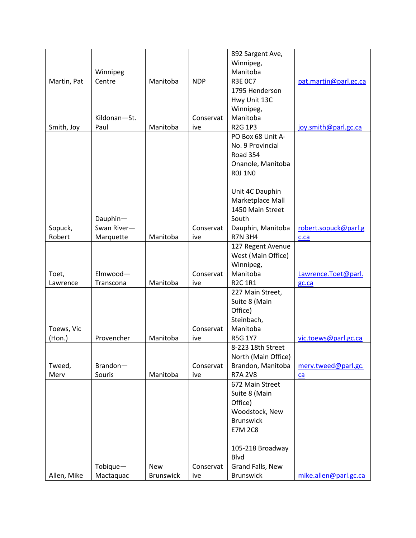|             |              |                  |            | 892 Sargent Ave,    |                       |
|-------------|--------------|------------------|------------|---------------------|-----------------------|
|             |              |                  |            | Winnipeg,           |                       |
|             | Winnipeg     |                  |            | Manitoba            |                       |
| Martin, Pat | Centre       | Manitoba         | <b>NDP</b> | <b>R3E OC7</b>      | pat.martin@parl.gc.ca |
|             |              |                  |            | 1795 Henderson      |                       |
|             |              |                  |            | Hwy Unit 13C        |                       |
|             |              |                  |            | Winnipeg,           |                       |
|             |              |                  |            |                     |                       |
|             | Kildonan-St. |                  | Conservat  | Manitoba            |                       |
| Smith, Joy  | Paul         | Manitoba         | ive        | R2G 1P3             | joy.smith@parl.gc.ca  |
|             |              |                  |            | PO Box 68 Unit A-   |                       |
|             |              |                  |            | No. 9 Provincial    |                       |
|             |              |                  |            | <b>Road 354</b>     |                       |
|             |              |                  |            | Onanole, Manitoba   |                       |
|             |              |                  |            | <b>ROJ 1NO</b>      |                       |
|             |              |                  |            |                     |                       |
|             |              |                  |            | Unit 4C Dauphin     |                       |
|             |              |                  |            | Marketplace Mall    |                       |
|             |              |                  |            | 1450 Main Street    |                       |
|             | Dauphin-     |                  |            | South               |                       |
| Sopuck,     | Swan River-  |                  | Conservat  | Dauphin, Manitoba   | robert.sopuck@parl.g  |
| Robert      | Marquette    | Manitoba         | ive        | <b>R7N 3H4</b>      | c.ca                  |
|             |              |                  |            | 127 Regent Avenue   |                       |
|             |              |                  |            | West (Main Office)  |                       |
|             |              |                  |            |                     |                       |
|             |              |                  |            | Winnipeg,           |                       |
| Toet,       | Elmwood-     |                  | Conservat  | Manitoba            | Lawrence.Toet@parl.   |
| Lawrence    | Transcona    | Manitoba         | ive        | <b>R2C 1R1</b>      | gc.ca                 |
|             |              |                  |            | 227 Main Street,    |                       |
|             |              |                  |            | Suite 8 (Main       |                       |
|             |              |                  |            | Office)             |                       |
|             |              |                  |            | Steinbach,          |                       |
| Toews, Vic  |              |                  | Conservat  | Manitoba            |                       |
| (Hon.)      | Provencher   | Manitoba         | ive        | R5G 1Y7             | vic.toews@parl.gc.ca  |
|             |              |                  |            | 8-223 18th Street   |                       |
|             |              |                  |            | North (Main Office) |                       |
| Tweed,      | Brandon-     |                  | Conservat  | Brandon, Manitoba   | merv.tweed@parl.gc.   |
| Merv        | Souris       | Manitoba         | ive        | <b>R7A 2V8</b>      | ca                    |
|             |              |                  |            | 672 Main Street     |                       |
|             |              |                  |            | Suite 8 (Main       |                       |
|             |              |                  |            | Office)             |                       |
|             |              |                  |            | Woodstock, New      |                       |
|             |              |                  |            | <b>Brunswick</b>    |                       |
|             |              |                  |            |                     |                       |
|             |              |                  |            | <b>E7M 2C8</b>      |                       |
|             |              |                  |            |                     |                       |
|             |              |                  |            | 105-218 Broadway    |                       |
|             |              |                  |            | Blvd                |                       |
|             | Tobique-     | New              | Conservat  | Grand Falls, New    |                       |
| Allen, Mike | Mactaquac    | <b>Brunswick</b> | ive        | <b>Brunswick</b>    | mike.allen@parl.gc.ca |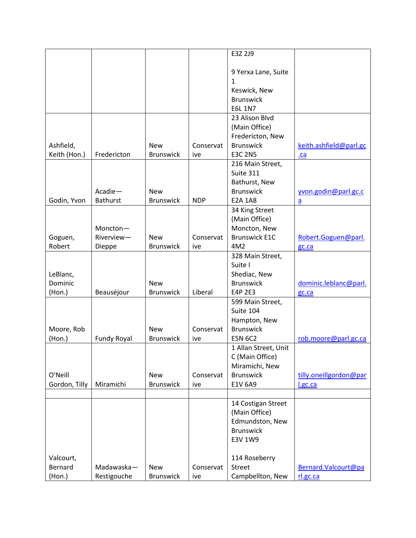|                           |                    |                                |                  | E3Z 2J9                                 |                                |
|---------------------------|--------------------|--------------------------------|------------------|-----------------------------------------|--------------------------------|
|                           |                    |                                |                  | 9 Yerxa Lane, Suite                     |                                |
|                           |                    |                                |                  | 1                                       |                                |
|                           |                    |                                |                  | Keswick, New                            |                                |
|                           |                    |                                |                  | <b>Brunswick</b>                        |                                |
|                           |                    |                                |                  | <b>E6L 1N7</b>                          |                                |
|                           |                    |                                |                  | 23 Alison Blvd                          |                                |
|                           |                    |                                |                  | (Main Office)                           |                                |
|                           |                    |                                |                  | Fredericton, New<br><b>Brunswick</b>    |                                |
| Ashfield,<br>Keith (Hon.) | Fredericton        | <b>New</b><br><b>Brunswick</b> | Conservat<br>ive | <b>E3C 2N5</b>                          | keith.ashfield@parl.gc<br>$ca$ |
|                           |                    |                                |                  | 216 Main Street,                        |                                |
|                           |                    |                                |                  | Suite 311                               |                                |
|                           |                    |                                |                  | Bathurst, New                           |                                |
|                           | Acadie-            | <b>New</b>                     |                  | <b>Brunswick</b>                        | yvon.godin@parl.gc.c           |
| Godin, Yvon               | <b>Bathurst</b>    | <b>Brunswick</b>               | <b>NDP</b>       | <b>E2A 1A8</b>                          | a                              |
|                           |                    |                                |                  | 34 King Street                          |                                |
|                           |                    |                                |                  | (Main Office)                           |                                |
|                           | Moncton-           |                                |                  | Moncton, New                            |                                |
| Goguen,                   | Riverview-         | <b>New</b>                     | Conservat        | <b>Brunswick E1C</b>                    | Robert.Goguen@parl.            |
| Robert                    | Dieppe             | <b>Brunswick</b>               | ive              | 4M2<br>328 Main Street,                 | gc.ca                          |
|                           |                    |                                |                  | Suite I                                 |                                |
| LeBlanc,                  |                    |                                |                  | Shediac, New                            |                                |
| Dominic                   |                    | <b>New</b>                     |                  | <b>Brunswick</b>                        | dominic.leblanc@parl.          |
| (Hon.)                    | Beauséjour         | <b>Brunswick</b>               | Liberal          | E4P 2E3                                 | gc.ca                          |
|                           |                    |                                |                  | 599 Main Street,                        |                                |
|                           |                    |                                |                  | Suite 104                               |                                |
|                           |                    |                                |                  | Hampton, New                            |                                |
| Moore, Rob                |                    | <b>New</b>                     | Conservat        | <b>Brunswick</b>                        |                                |
| (Hon.)                    | <b>Fundy Royal</b> | <b>Brunswick</b>               | ive              | <b>E5N 6C2</b>                          | rob.moore@parl.gc.ca           |
|                           |                    |                                |                  | 1 Allan Street, Unit<br>C (Main Office) |                                |
|                           |                    |                                |                  | Miramichi, New                          |                                |
| O'Neill                   |                    | <b>New</b>                     | Conservat        | <b>Brunswick</b>                        | tilly.oneillgordon@par         |
| Gordon, Tilly             | Miramichi          | <b>Brunswick</b>               | ive              | E1V 6A9                                 | I.gc.ca                        |
|                           |                    |                                |                  |                                         |                                |
|                           |                    |                                |                  | 14 Costigan Street                      |                                |
|                           |                    |                                |                  | (Main Office)                           |                                |
|                           |                    |                                |                  | Edmundston, New                         |                                |
|                           |                    |                                |                  | <b>Brunswick</b>                        |                                |
|                           |                    |                                |                  | E3V 1W9                                 |                                |
| Valcourt,                 |                    |                                |                  | 114 Roseberry                           |                                |
| Bernard                   | Madawaska-         | <b>New</b>                     | Conservat        | <b>Street</b>                           | Bernard. Valcourt@pa           |
| (Hon.)                    | Restigouche        | <b>Brunswick</b>               | ive              | Campbellton, New                        | rl.gc.ca                       |
|                           |                    |                                |                  |                                         |                                |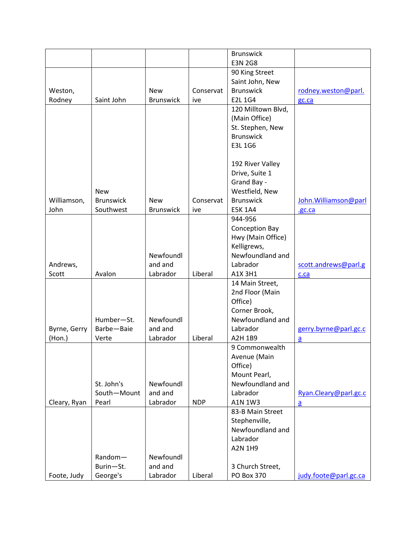|              |                  |                  |            | <b>Brunswick</b>      |                       |
|--------------|------------------|------------------|------------|-----------------------|-----------------------|
|              |                  |                  |            | <b>E3N 2G8</b>        |                       |
|              |                  |                  |            | 90 King Street        |                       |
|              |                  |                  |            | Saint John, New       |                       |
| Weston,      |                  | <b>New</b>       | Conservat  | <b>Brunswick</b>      | rodney.weston@parl.   |
| Rodney       | Saint John       | <b>Brunswick</b> | ive        | <b>E2L1G4</b>         | gc.ca                 |
|              |                  |                  |            | 120 Milltown Blvd,    |                       |
|              |                  |                  |            | (Main Office)         |                       |
|              |                  |                  |            | St. Stephen, New      |                       |
|              |                  |                  |            | <b>Brunswick</b>      |                       |
|              |                  |                  |            | E3L 1G6               |                       |
|              |                  |                  |            |                       |                       |
|              |                  |                  |            | 192 River Valley      |                       |
|              |                  |                  |            | Drive, Suite 1        |                       |
|              |                  |                  |            | Grand Bay -           |                       |
|              | <b>New</b>       |                  |            | Westfield, New        |                       |
| Williamson,  | <b>Brunswick</b> | <b>New</b>       | Conservat  | <b>Brunswick</b>      | John. Williamson@parl |
| John         | Southwest        | <b>Brunswick</b> | ive        | <b>E5K 1A4</b>        | .gc.ca                |
|              |                  |                  |            | 944-956               |                       |
|              |                  |                  |            | <b>Conception Bay</b> |                       |
|              |                  |                  |            | Hwy (Main Office)     |                       |
|              |                  |                  |            | Kelligrews,           |                       |
|              |                  | Newfoundl        |            | Newfoundland and      |                       |
| Andrews,     |                  | and and          |            | Labrador              | scott.andrews@parl.g  |
| Scott        | Avalon           | Labrador         | Liberal    | A1X 3H1               | c.ca                  |
|              |                  |                  |            | 14 Main Street,       |                       |
|              |                  |                  |            | 2nd Floor (Main       |                       |
|              |                  |                  |            | Office)               |                       |
|              |                  |                  |            | Corner Brook,         |                       |
|              | Humber-St.       | Newfoundl        |            | Newfoundland and      |                       |
| Byrne, Gerry | Barbe-Baie       | and and          |            | Labrador              | gerry.byrne@parl.gc.c |
| (Hon.)       | Verte            | Labrador         | Liberal    | A2H 1B9               | a                     |
|              |                  |                  |            | 9 Commonwealth        |                       |
|              |                  |                  |            | Avenue (Main          |                       |
|              |                  |                  |            | Office)               |                       |
|              |                  |                  |            | Mount Pearl,          |                       |
|              | St. John's       | Newfoundl        |            | Newfoundland and      |                       |
|              | South-Mount      | and and          |            | Labrador              | Ryan.Cleary@parl.gc.c |
| Cleary, Ryan | Pearl            | Labrador         | <b>NDP</b> | A1N 1W3               | $\underline{a}$       |
|              |                  |                  |            | 83-B Main Street      |                       |
|              |                  |                  |            | Stephenville,         |                       |
|              |                  |                  |            | Newfoundland and      |                       |
|              |                  |                  |            | Labrador              |                       |
|              |                  |                  |            | A2N 1H9               |                       |
|              | Random-          | Newfoundl        |            |                       |                       |
|              | Burin-St.        | and and          |            | 3 Church Street,      |                       |
| Foote, Judy  | George's         | Labrador         | Liberal    | PO Box 370            | judy.foote@parl.gc.ca |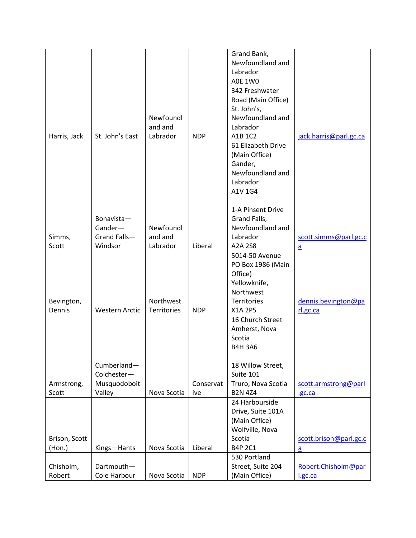|               |                       |             |            | Grand Bank,        |                        |
|---------------|-----------------------|-------------|------------|--------------------|------------------------|
|               |                       |             |            | Newfoundland and   |                        |
|               |                       |             |            | Labrador           |                        |
|               |                       |             |            | <b>A0E 1W0</b>     |                        |
|               |                       |             |            | 342 Freshwater     |                        |
|               |                       |             |            | Road (Main Office) |                        |
|               |                       |             |            |                    |                        |
|               |                       |             |            | St. John's,        |                        |
|               |                       | Newfoundl   |            | Newfoundland and   |                        |
|               |                       | and and     |            | Labrador           |                        |
| Harris, Jack  | St. John's East       | Labrador    | <b>NDP</b> | A1B 1C2            | jack.harris@parl.gc.ca |
|               |                       |             |            | 61 Elizabeth Drive |                        |
|               |                       |             |            | (Main Office)      |                        |
|               |                       |             |            | Gander,            |                        |
|               |                       |             |            | Newfoundland and   |                        |
|               |                       |             |            | Labrador           |                        |
|               |                       |             |            | A1V 1G4            |                        |
|               |                       |             |            |                    |                        |
|               |                       |             |            | 1-A Pinsent Drive  |                        |
|               | Bonavista-            |             |            | Grand Falls,       |                        |
|               | Gander-               | Newfoundl   |            | Newfoundland and   |                        |
| Simms,        | Grand Falls-          | and and     |            | Labrador           | scott.simms@parl.gc.c  |
| Scott         | Windsor               | Labrador    | Liberal    | A2A 2S8            | a                      |
|               |                       |             |            | 5014-50 Avenue     |                        |
|               |                       |             |            |                    |                        |
|               |                       |             |            | PO Box 1986 (Main  |                        |
|               |                       |             |            | Office)            |                        |
|               |                       |             |            | Yellowknife,       |                        |
|               |                       |             |            | Northwest          |                        |
| Bevington,    |                       | Northwest   |            | <b>Territories</b> | dennis.bevington@pa    |
| Dennis        | <b>Western Arctic</b> | Territories | <b>NDP</b> | X1A 2P5            | rl.gc.ca               |
|               |                       |             |            | 16 Church Street   |                        |
|               |                       |             |            | Amherst, Nova      |                        |
|               |                       |             |            | Scotia             |                        |
|               |                       |             |            | <b>B4H 3A6</b>     |                        |
|               |                       |             |            |                    |                        |
|               | Cumberland-           |             |            | 18 Willow Street,  |                        |
|               | Colchester-           |             |            | Suite 101          |                        |
| Armstrong,    | Musquodoboit          |             | Conservat  | Truro, Nova Scotia | scott.armstrong@parl   |
| Scott         | Valley                | Nova Scotia | ive        | <b>B2N 4Z4</b>     | .gc.ca                 |
|               |                       |             |            | 24 Harbourside     |                        |
|               |                       |             |            | Drive, Suite 101A  |                        |
|               |                       |             |            | (Main Office)      |                        |
|               |                       |             |            |                    |                        |
|               |                       |             |            | Wolfville, Nova    |                        |
| Brison, Scott |                       |             |            | Scotia             | scott.brison@parl.gc.c |
| $($ Hon. $)$  | Kings-Hants           | Nova Scotia | Liberal    | <b>B4P 2C1</b>     | $\underline{a}$        |
|               |                       |             |            | 530 Portland       |                        |
| Chisholm,     | Dartmouth-            |             |            | Street, Suite 204  | Robert.Chisholm@par    |
| Robert        | Cole Harbour          | Nova Scotia | <b>NDP</b> | (Main Office)      | l.gc.ca                |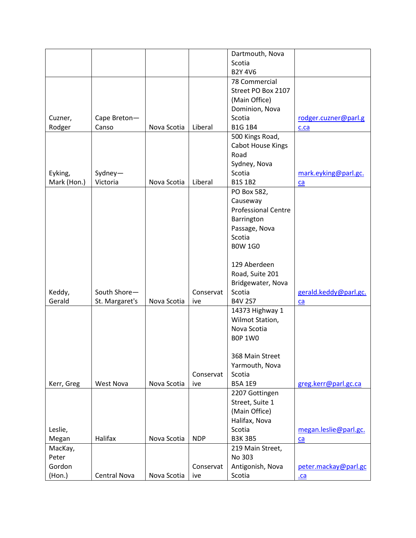|             |                |             |            | Dartmouth, Nova            |                       |
|-------------|----------------|-------------|------------|----------------------------|-----------------------|
|             |                |             |            | Scotia                     |                       |
|             |                |             |            | <b>B2Y 4V6</b>             |                       |
|             |                |             |            | 78 Commercial              |                       |
|             |                |             |            | Street PO Box 2107         |                       |
|             |                |             |            | (Main Office)              |                       |
|             |                |             |            | Dominion, Nova             |                       |
|             |                |             |            | Scotia                     |                       |
| Cuzner,     | Cape Breton-   |             |            |                            | rodger.cuzner@parl.g  |
| Rodger      | Canso          | Nova Scotia | Liberal    | <b>B1G 1B4</b>             | c.ca                  |
|             |                |             |            | 500 Kings Road,            |                       |
|             |                |             |            | <b>Cabot House Kings</b>   |                       |
|             |                |             |            | Road                       |                       |
|             |                |             |            | Sydney, Nova               |                       |
| Eyking,     | Sydney-        |             |            | Scotia                     | mark.eyking@parl.gc.  |
| Mark (Hon.) | Victoria       | Nova Scotia | Liberal    | <b>B1S 1B2</b>             | ca                    |
|             |                |             |            | PO Box 582,                |                       |
|             |                |             |            | Causeway                   |                       |
|             |                |             |            | <b>Professional Centre</b> |                       |
|             |                |             |            | Barrington                 |                       |
|             |                |             |            | Passage, Nova              |                       |
|             |                |             |            | Scotia                     |                       |
|             |                |             |            | <b>BOW 1GO</b>             |                       |
|             |                |             |            |                            |                       |
|             |                |             |            | 129 Aberdeen               |                       |
|             |                |             |            | Road, Suite 201            |                       |
|             |                |             |            | Bridgewater, Nova          |                       |
| Keddy,      | South Shore-   |             | Conservat  | Scotia                     | gerald.keddy@parl.gc. |
| Gerald      | St. Margaret's | Nova Scotia | ive        | <b>B4V 2S7</b>             | ca                    |
|             |                |             |            | 14373 Highway 1            |                       |
|             |                |             |            | Wilmot Station,            |                       |
|             |                |             |            | Nova Scotia                |                       |
|             |                |             |            | <b>BOP 1WO</b>             |                       |
|             |                |             |            |                            |                       |
|             |                |             |            | 368 Main Street            |                       |
|             |                |             |            | Yarmouth, Nova             |                       |
|             |                |             | Conservat  | Scotia                     |                       |
| Kerr, Greg  | West Nova      | Nova Scotia | ive        | <b>B5A 1E9</b>             | greg.kerr@parl.gc.ca  |
|             |                |             |            |                            |                       |
|             |                |             |            | 2207 Gottingen             |                       |
|             |                |             |            | Street, Suite 1            |                       |
|             |                |             |            | (Main Office)              |                       |
|             |                |             |            | Halifax, Nova              |                       |
| Leslie,     |                |             |            | Scotia                     | megan.leslie@parl.gc. |
| Megan       | Halifax        | Nova Scotia | <b>NDP</b> | <b>B3K3B5</b>              | ca                    |
| MacKay,     |                |             |            | 219 Main Street,           |                       |
| Peter       |                |             |            | No 303                     |                       |
| Gordon      |                |             | Conservat  | Antigonish, Nova           | peter.mackay@parl.gc  |
| (Hon.)      | Central Nova   | Nova Scotia | ive        | Scotia                     | $ca$                  |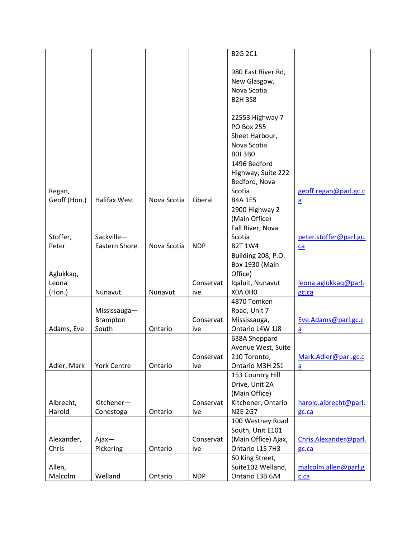|              |                     |             |            | <b>B2G 2C1</b>        |                        |
|--------------|---------------------|-------------|------------|-----------------------|------------------------|
|              |                     |             |            |                       |                        |
|              |                     |             |            |                       |                        |
|              |                     |             |            | 980 East River Rd,    |                        |
|              |                     |             |            | New Glasgow,          |                        |
|              |                     |             |            | Nova Scotia           |                        |
|              |                     |             |            | <b>B2H3S8</b>         |                        |
|              |                     |             |            |                       |                        |
|              |                     |             |            | 22553 Highway 7       |                        |
|              |                     |             |            | <b>PO Box 255</b>     |                        |
|              |                     |             |            | Sheet Harbour,        |                        |
|              |                     |             |            | Nova Scotia           |                        |
|              |                     |             |            | <b>BOJ 3BO</b>        |                        |
|              |                     |             |            | 1496 Bedford          |                        |
|              |                     |             |            | Highway, Suite 222    |                        |
|              |                     |             |            | Bedford, Nova         |                        |
| Regan,       |                     |             |            | Scotia                | geoff.regan@parl.gc.c  |
| Geoff (Hon.) | <b>Halifax West</b> | Nova Scotia | Liberal    | <b>B4A 1E5</b>        | $\overline{a}$         |
|              |                     |             |            | 2900 Highway 2        |                        |
|              |                     |             |            | (Main Office)         |                        |
|              |                     |             |            | Fall River, Nova      |                        |
| Stoffer,     | Sackville-          |             |            | Scotia                | peter.stoffer@parl.gc. |
| Peter        | Eastern Shore       | Nova Scotia | <b>NDP</b> | <b>B2T 1W4</b>        | ca                     |
|              |                     |             |            | Building 208, P.O.    |                        |
|              |                     |             |            |                       |                        |
|              |                     |             |            | <b>Box 1930 (Main</b> |                        |
| Aglukkaq,    |                     |             |            | Office)               |                        |
| Leona        |                     |             | Conservat  | Iqaluit, Nunavut      | leona.aglukkaq@parl.   |
| (Hon.)       | Nunavut             | Nunavut     | ive        | X0A 0H0               | gc.ca                  |
|              |                     |             |            | 4870 Tomken           |                        |
|              | Mississauga-        |             |            | Road, Unit 7          |                        |
|              | Brampton            |             | Conservat  | Mississauga,          | Eve.Adams@parl.gc.c    |
| Adams, Eve   | South               | Ontario     | ive        | Ontario L4W 1J8       | a                      |
|              |                     |             |            | 638A Sheppard         |                        |
|              |                     |             |            | Avenue West, Suite    |                        |
|              |                     |             | Conservat  | 210 Toronto,          | Mark.Adler@parl.gc.c   |
| Adler, Mark  | <b>York Centre</b>  | Ontario     | ive        | Ontario M3H 2S1       | $\overline{a}$         |
|              |                     |             |            | 153 Country Hill      |                        |
|              |                     |             |            | Drive, Unit 2A        |                        |
|              |                     |             |            | (Main Office)         |                        |
| Albrecht,    | Kitchener-          |             | Conservat  | Kitchener, Ontario    | harold.albrecht@parl.  |
| Harold       | Conestoga           | Ontario     | ive        | <b>N2E 2G7</b>        | gc.ca                  |
|              |                     |             |            | 100 Westney Road      |                        |
|              |                     |             |            | South, Unit E101      |                        |
| Alexander,   | $A$ jax $-$         |             | Conservat  | (Main Office) Ajax,   | Chris.Alexander@parl.  |
| Chris        | Pickering           | Ontario     | ive        | Ontario L1S 7H3       | gc.ca                  |
|              |                     |             |            |                       |                        |
|              |                     |             |            | 60 King Street,       |                        |
| Allen,       |                     |             |            | Suite102 Welland,     | malcolm.allen@parl.g   |
| Malcolm      | Welland             | Ontario     | <b>NDP</b> | Ontario L3B 6A4       | c.ca                   |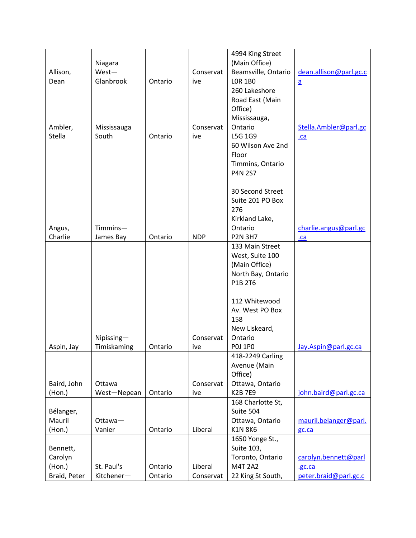|                   |             |         |            | 4994 King Street    |                        |
|-------------------|-------------|---------|------------|---------------------|------------------------|
|                   | Niagara     |         |            | (Main Office)       |                        |
| Allison,          | West-       |         | Conservat  | Beamsville, Ontario | dean.allison@parl.gc.c |
| Dean              | Glanbrook   | Ontario | ive        | <b>LOR 1BO</b>      | $\overline{a}$         |
|                   |             |         |            | 260 Lakeshore       |                        |
|                   |             |         |            | Road East (Main     |                        |
|                   |             |         |            | Office)             |                        |
|                   |             |         |            | Mississauga,        |                        |
| Ambler,           | Mississauga |         | Conservat  | Ontario             | Stella.Ambler@parl.gc  |
| <b>Stella</b>     | South       | Ontario | ive        | L5G 1G9             | .ca                    |
|                   |             |         |            | 60 Wilson Ave 2nd   |                        |
|                   |             |         |            | Floor               |                        |
|                   |             |         |            | Timmins, Ontario    |                        |
|                   |             |         |            | <b>P4N 2S7</b>      |                        |
|                   |             |         |            |                     |                        |
|                   |             |         |            | 30 Second Street    |                        |
|                   |             |         |            | Suite 201 PO Box    |                        |
|                   |             |         |            | 276                 |                        |
|                   |             |         |            | Kirkland Lake,      |                        |
|                   | Timmins-    |         |            | Ontario             |                        |
| Angus,<br>Charlie |             | Ontario | <b>NDP</b> | <b>P2N 3H7</b>      | charlie.angus@parl.gc  |
|                   | James Bay   |         |            | 133 Main Street     | $ca$                   |
|                   |             |         |            |                     |                        |
|                   |             |         |            | West, Suite 100     |                        |
|                   |             |         |            | (Main Office)       |                        |
|                   |             |         |            | North Bay, Ontario  |                        |
|                   |             |         |            | P1B 2T6             |                        |
|                   |             |         |            |                     |                        |
|                   |             |         |            | 112 Whitewood       |                        |
|                   |             |         |            | Av. West PO Box     |                        |
|                   |             |         |            | 158                 |                        |
|                   |             |         |            | New Liskeard,       |                        |
|                   | Nipissing-  |         | Conservat  | Ontario             |                        |
| Aspin, Jay        | Timiskaming | Ontario | ive        | <b>POJ 1PO</b>      | Jay.Aspin@parl.gc.ca   |
|                   |             |         |            | 418-2249 Carling    |                        |
|                   |             |         |            | Avenue (Main        |                        |
|                   |             |         |            | Office)             |                        |
| Baird, John       | Ottawa      |         | Conservat  | Ottawa, Ontario     |                        |
| (Hon.)            | West-Nepean | Ontario | ive        | <b>K2B7E9</b>       | john.baird@parl.gc.ca  |
|                   |             |         |            | 168 Charlotte St,   |                        |
| Bélanger,         |             |         |            | Suite 504           |                        |
| Mauril            | Ottawa-     |         |            | Ottawa, Ontario     | mauril.belanger@parl.  |
| (Hon.)            | Vanier      | Ontario | Liberal    | <b>K1N 8K6</b>      | gc.ca                  |
|                   |             |         |            | 1650 Yonge St.,     |                        |
| Bennett,          |             |         |            | Suite 103,          |                        |
| Carolyn           |             |         |            | Toronto, Ontario    | carolyn.bennett@parl   |
| (Hon.)            | St. Paul's  | Ontario | Liberal    | <b>M4T 2A2</b>      | .gc.ca                 |
| Braid, Peter      | Kitchener-  | Ontario | Conservat  | 22 King St South,   | peter.braid@parl.gc.c  |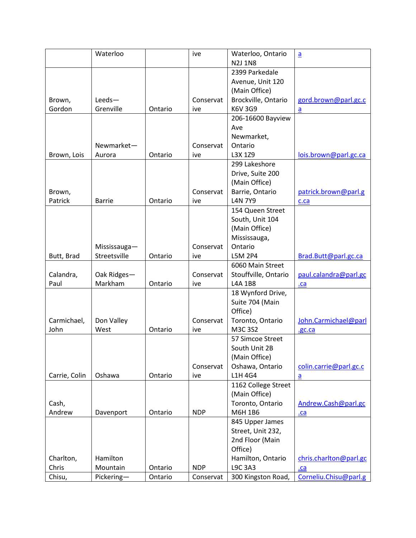|               | Waterloo           |         | ive        | Waterloo, Ontario           | $\underline{a}$        |
|---------------|--------------------|---------|------------|-----------------------------|------------------------|
|               |                    |         |            | <b>N2J 1N8</b>              |                        |
|               |                    |         |            | 2399 Parkedale              |                        |
|               |                    |         |            | Avenue, Unit 120            |                        |
|               |                    |         |            | (Main Office)               |                        |
| Brown,        | Leeds-             |         | Conservat  | Brockville, Ontario         | gord.brown@parl.gc.c   |
| Gordon        | Grenville          | Ontario | ive        | K6V 3G9                     | a                      |
|               |                    |         |            | 206-16600 Bayview           |                        |
|               |                    |         |            | Ave                         |                        |
|               |                    |         |            | Newmarket,                  |                        |
|               | Newmarket-         |         | Conservat  | Ontario                     |                        |
| Brown, Lois   | Aurora             | Ontario | ive        | L3X 1Z9                     | lois.brown@parl.gc.ca  |
|               |                    |         |            | 299 Lakeshore               |                        |
|               |                    |         |            | Drive, Suite 200            |                        |
|               |                    |         |            | (Main Office)               |                        |
| Brown,        |                    |         | Conservat  | Barrie, Ontario             | patrick.brown@parl.g   |
| Patrick       | <b>Barrie</b>      | Ontario | ive        | <b>L4N 7Y9</b>              | c.ca                   |
|               |                    |         |            | 154 Queen Street            |                        |
|               |                    |         |            | South, Unit 104             |                        |
|               |                    |         |            | (Main Office)               |                        |
|               |                    |         |            | Mississauga,                |                        |
|               | Mississauga-       |         | Conservat  | Ontario                     |                        |
| Butt, Brad    | Streetsville       | Ontario | ive        | L5M 2P4                     | Brad.Butt@parl.gc.ca   |
|               |                    |         |            | 6060 Main Street            |                        |
| Calandra,     | Oak Ridges-        |         | Conservat  | Stouffville, Ontario        | paul.calandra@parl.gc  |
| Paul          | Markham            | Ontario | ive        | L4A 1B8                     | .ca                    |
|               |                    |         |            | 18 Wynford Drive,           |                        |
|               |                    |         |            | Suite 704 (Main             |                        |
|               |                    |         |            | Office)                     |                        |
| Carmichael,   |                    |         | Conservat  |                             | John.Carmichael@parl   |
| John          | Don Valley<br>West |         |            | Toronto, Ontario<br>M3C 3S2 |                        |
|               |                    | Ontario | ive        |                             | .gc.ca                 |
|               |                    |         |            | 57 Simcoe Street            |                        |
|               |                    |         |            | South Unit 2B               |                        |
|               |                    |         |            | (Main Office)               |                        |
|               |                    |         | Conservat  | Oshawa, Ontario             | colin.carrie@parl.gc.c |
| Carrie, Colin | Oshawa             | Ontario | ive        | L1H 4G4                     | $\overline{a}$         |
|               |                    |         |            | 1162 College Street         |                        |
|               |                    |         |            | (Main Office)               |                        |
| Cash,         |                    |         |            | Toronto, Ontario            | Andrew.Cash@parl.gc    |
| Andrew        | Davenport          | Ontario | <b>NDP</b> | M6H 1B6                     | .ca                    |
|               |                    |         |            | 845 Upper James             |                        |
|               |                    |         |            | Street, Unit 232,           |                        |
|               |                    |         |            | 2nd Floor (Main             |                        |
|               |                    |         |            | Office)                     |                        |
| Charlton,     | Hamilton           |         |            | Hamilton, Ontario           | chris.charlton@parl.gc |
| Chris         | Mountain           | Ontario | <b>NDP</b> | L9C 3A3                     | $ca$                   |
| Chisu,        | Pickering-         | Ontario | Conservat  | 300 Kingston Road,          | Corneliu.Chisu@parl.g  |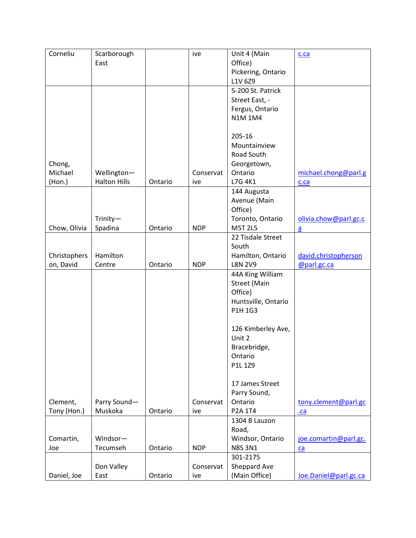| Corneliu     | Scarborough         |         | ive        | Unit 4 (Main        | c.ca                  |
|--------------|---------------------|---------|------------|---------------------|-----------------------|
|              | East                |         |            | Office)             |                       |
|              |                     |         |            | Pickering, Ontario  |                       |
|              |                     |         |            | L1V 6Z9             |                       |
|              |                     |         |            | 5-200 St. Patrick   |                       |
|              |                     |         |            | Street East, -      |                       |
|              |                     |         |            | Fergus, Ontario     |                       |
|              |                     |         |            | <b>N1M1M4</b>       |                       |
|              |                     |         |            |                     |                       |
|              |                     |         |            | 205-16              |                       |
|              |                     |         |            | Mountainview        |                       |
|              |                     |         |            | Road South          |                       |
| Chong,       |                     |         |            | Georgetown,         |                       |
| Michael      | Wellington-         |         | Conservat  | Ontario             | michael.chong@parl.g  |
| $($ Hon. $)$ | <b>Halton Hills</b> | Ontario | ive        | L7G 4K1             | c.ca                  |
|              |                     |         |            | 144 Augusta         |                       |
|              |                     |         |            | Avenue (Main        |                       |
|              |                     |         |            | Office)             |                       |
|              | Trinity-            |         |            | Toronto, Ontario    | olivia.chow@parl.gc.c |
| Chow, Olivia | Spadina             | Ontario | <b>NDP</b> | <b>M5T 2L5</b>      | $\overline{a}$        |
|              |                     |         |            | 22 Tisdale Street   |                       |
|              |                     |         |            | South               |                       |
| Christophers | Hamilton            |         |            | Hamilton, Ontario   | david.christopherson  |
| on, David    | Centre              | Ontario | <b>NDP</b> | <b>L8N 2V9</b>      | @parl.gc.ca           |
|              |                     |         |            | 44A King William    |                       |
|              |                     |         |            | <b>Street (Main</b> |                       |
|              |                     |         |            | Office)             |                       |
|              |                     |         |            | Huntsville, Ontario |                       |
|              |                     |         |            | P1H 1G3             |                       |
|              |                     |         |            |                     |                       |
|              |                     |         |            | 126 Kimberley Ave,  |                       |
|              |                     |         |            | Unit 2              |                       |
|              |                     |         |            | Bracebridge,        |                       |
|              |                     |         |            | Ontario             |                       |
|              |                     |         |            | P1L 1Z9             |                       |
|              |                     |         |            |                     |                       |
|              |                     |         |            | 17 James Street     |                       |
|              |                     |         |            | Parry Sound,        |                       |
| Clement,     | Parry Sound-        |         | Conservat  | Ontario             | tony.clement@parl.gc  |
| Tony (Hon.)  | Muskoka             | Ontario | ive        | P2A 1T4             | $ca$                  |
|              |                     |         |            | 1304 B Lauzon       |                       |
|              |                     |         |            | Road,               |                       |
| Comartin,    | Windsor-            |         |            | Windsor, Ontario    | joe.comartin@parl.gc. |
| Joe          | Tecumseh            | Ontario | <b>NDP</b> | <b>N8S 3N1</b>      | ca                    |
|              |                     |         |            | 301-2175            |                       |
|              | Don Valley          |         | Conservat  | Sheppard Ave        |                       |
| Daniel, Joe  | East                | Ontario | ive        | (Main Office)       | Joe.Daniel@parl.gc.ca |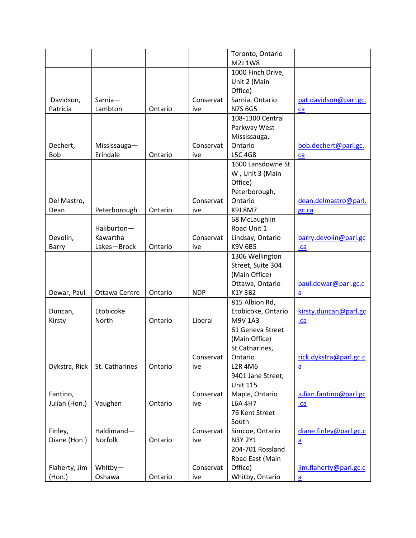|               |                |         |            | Toronto, Ontario   |                        |
|---------------|----------------|---------|------------|--------------------|------------------------|
|               |                |         |            | M2J 1W8            |                        |
|               |                |         |            | 1000 Finch Drive,  |                        |
|               |                |         |            | Unit 2 (Main       |                        |
|               |                |         |            | Office)            |                        |
| Davidson,     | Sarnia-        |         | Conservat  | Sarnia, Ontario    | pat.davidson@parl.gc.  |
| Patricia      | Lambton        | Ontario | ive        | <b>N7S 6G5</b>     | ca                     |
|               |                |         |            | 108-1300 Central   |                        |
|               |                |         |            | Parkway West       |                        |
|               |                |         |            | Mississauga,       |                        |
| Dechert,      | Mississauga-   |         | Conservat  | Ontario            | bob.dechert@parl.gc.   |
| Bob           | Erindale       | Ontario | ive        | <b>L5C 4G8</b>     | ca                     |
|               |                |         |            | 1600 Lansdowne St  |                        |
|               |                |         |            | W, Unit 3 (Main    |                        |
|               |                |         |            | Office)            |                        |
|               |                |         |            | Peterborough,      |                        |
| Del Mastro,   |                |         | Conservat  | Ontario            | dean.delmastro@parl.   |
| Dean          | Peterborough   | Ontario | ive        | K9J 8M7            | gc.ca                  |
|               |                |         |            | 68 McLaughlin      |                        |
|               | Haliburton-    |         |            | Road Unit 1        |                        |
| Devolin,      | Kawartha       |         | Conservat  | Lindsay, Ontario   | barry.devolin@parl.gc  |
| Barry         | Lakes-Brock    | Ontario | ive        | <b>K9V 6B5</b>     | .ca                    |
|               |                |         |            | 1306 Wellington    |                        |
|               |                |         |            | Street, Suite 304  |                        |
|               |                |         |            | (Main Office)      |                        |
|               |                |         |            | Ottawa, Ontario    | paul.dewar@parl.gc.c   |
| Dewar, Paul   | Ottawa Centre  | Ontario | <b>NDP</b> | K1Y3B2             | $\underline{a}$        |
|               |                |         |            | 815 Albion Rd,     |                        |
| Duncan,       | Etobicoke      |         |            | Etobicoke, Ontario | kirsty.duncan@parl.gc  |
| Kirsty        | North          | Ontario | Liberal    | M9V 1A3            | .ca                    |
|               |                |         |            | 61 Geneva Street   |                        |
|               |                |         |            | (Main Office)      |                        |
|               |                |         |            | St Catharines,     |                        |
|               |                |         | Conservat  | Ontario            | rick.dykstra@parl.gc.c |
| Dykstra, Rick | St. Catharines | Ontario | ive        | <b>L2R 4M6</b>     | a                      |
|               |                |         |            | 9401 Jane Street,  |                        |
|               |                |         |            | <b>Unit 115</b>    |                        |
| Fantino,      |                |         | Conservat  | Maple, Ontario     | julian.fantino@parl.gc |
| Julian (Hon.) | Vaughan        | Ontario | ive        | L6A 4H7            |                        |
|               |                |         |            | 76 Kent Street     | $ca$                   |
|               |                |         |            | South              |                        |
|               | Haldimand-     |         |            |                    |                        |
| Finley,       |                |         | Conservat  | Simcoe, Ontario    | diane.finley@parl.gc.c |
| Diane (Hon.)  | Norfolk        | Ontario | ive        | N3Y 2Y1            | $\underline{a}$        |
|               |                |         |            | 204-701 Rossland   |                        |
|               |                |         |            | Road East (Main    |                        |
| Flaherty, Jim | Whitby-        |         | Conservat  | Office)            | jim.flaherty@parl.gc.c |
| (Hon.)        | Oshawa         | Ontario | ive        | Whitby, Ontario    | $\underline{a}$        |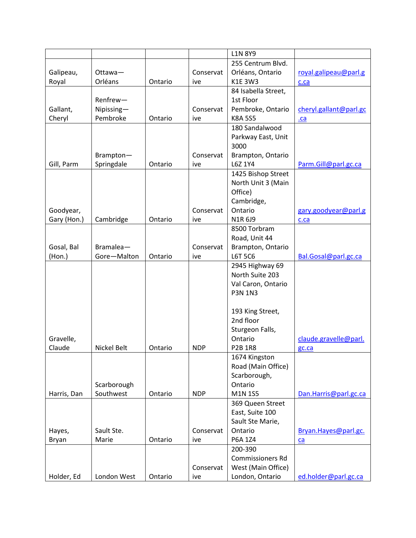|             |             |         |            | <b>L1N 8Y9</b>          |                        |
|-------------|-------------|---------|------------|-------------------------|------------------------|
|             |             |         |            | 255 Centrum Blvd.       |                        |
| Galipeau,   | Ottawa-     |         | Conservat  | Orléans, Ontario        | royal.galipeau@parl.g  |
| Royal       | Orléans     | Ontario | ive        | <b>K1E 3W3</b>          | c.ca                   |
|             |             |         |            | 84 Isabella Street,     |                        |
|             | Renfrew-    |         |            | 1st Floor               |                        |
| Gallant,    | Nipissing-  |         | Conservat  | Pembroke, Ontario       | cheryl.gallant@parl.gc |
| Cheryl      | Pembroke    | Ontario | ive        | <b>K8A 5S5</b>          | .ca                    |
|             |             |         |            | 180 Sandalwood          |                        |
|             |             |         |            | Parkway East, Unit      |                        |
|             |             |         |            | 3000                    |                        |
|             | Brampton-   |         | Conservat  | Brampton, Ontario       |                        |
|             |             | Ontario |            | L6Z 1Y4                 |                        |
| Gill, Parm  | Springdale  |         | ive        |                         | Parm.Gill@parl.gc.ca   |
|             |             |         |            | 1425 Bishop Street      |                        |
|             |             |         |            | North Unit 3 (Main      |                        |
|             |             |         |            | Office)                 |                        |
|             |             |         |            | Cambridge,              |                        |
| Goodyear,   |             |         | Conservat  | Ontario                 | gary.goodyear@parl.g   |
| Gary (Hon.) | Cambridge   | Ontario | ive        | N1R 6J9                 | c.ca                   |
|             |             |         |            | 8500 Torbram            |                        |
|             |             |         |            | Road, Unit 44           |                        |
| Gosal, Bal  | Bramalea-   |         | Conservat  | Brampton, Ontario       |                        |
| (Hon.)      | Gore-Malton | Ontario | ive        | L6T 5C6                 | Bal.Gosal@parl.gc.ca   |
|             |             |         |            | 2945 Highway 69         |                        |
|             |             |         |            | North Suite 203         |                        |
|             |             |         |            | Val Caron, Ontario      |                        |
|             |             |         |            | <b>P3N 1N3</b>          |                        |
|             |             |         |            |                         |                        |
|             |             |         |            | 193 King Street,        |                        |
|             |             |         |            | 2nd floor               |                        |
|             |             |         |            | Sturgeon Falls,         |                        |
| Gravelle,   |             |         |            | Ontario                 | claude.gravelle@parl.  |
| Claude      | Nickel Belt | Ontario | <b>NDP</b> | <b>P2B 1R8</b>          | gc.ca                  |
|             |             |         |            | 1674 Kingston           |                        |
|             |             |         |            | Road (Main Office)      |                        |
|             |             |         |            |                         |                        |
|             |             |         |            | Scarborough,            |                        |
|             | Scarborough |         |            | Ontario                 |                        |
| Harris, Dan | Southwest   | Ontario | <b>NDP</b> | M1N 1S5                 | Dan.Harris@parl.gc.ca  |
|             |             |         |            | 369 Queen Street        |                        |
|             |             |         |            | East, Suite 100         |                        |
|             |             |         |            | Sault Ste Marie,        |                        |
| Hayes,      | Sault Ste.  |         | Conservat  | Ontario                 | Bryan.Hayes@parl.gc.   |
| Bryan       | Marie       | Ontario | ive        | P6A 1Z4                 | ca                     |
|             |             |         |            | 200-390                 |                        |
|             |             |         |            | <b>Commissioners Rd</b> |                        |
|             |             |         | Conservat  | West (Main Office)      |                        |
| Holder, Ed  | London West | Ontario | ive        | London, Ontario         | ed.holder@parl.gc.ca   |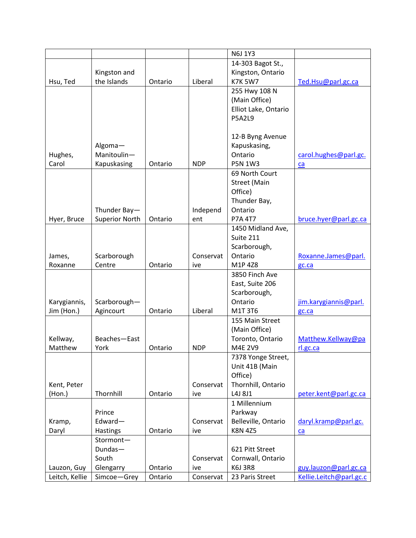|                   |                       |         |            | N6J 1Y3              |                         |
|-------------------|-----------------------|---------|------------|----------------------|-------------------------|
|                   |                       |         |            | 14-303 Bagot St.,    |                         |
|                   | Kingston and          |         |            | Kingston, Ontario    |                         |
| Hsu, Ted          | the Islands           | Ontario | Liberal    | <b>K7K 5W7</b>       | Ted.Hsu@parl.gc.ca      |
|                   |                       |         |            | 255 Hwy 108 N        |                         |
|                   |                       |         |            | (Main Office)        |                         |
|                   |                       |         |            | Elliot Lake, Ontario |                         |
|                   |                       |         |            | <b>P5A2L9</b>        |                         |
|                   |                       |         |            |                      |                         |
|                   |                       |         |            | 12-B Byng Avenue     |                         |
|                   | Algoma-               |         |            | Kapuskasing,         |                         |
| Hughes,           | Manitoulin-           |         |            | Ontario              | carol.hughes@parl.gc.   |
| Carol             | Kapuskasing           | Ontario | <b>NDP</b> | <b>P5N 1W3</b>       | ca                      |
|                   |                       |         |            | 69 North Court       |                         |
|                   |                       |         |            | <b>Street (Main</b>  |                         |
|                   |                       |         |            | Office)              |                         |
|                   |                       |         |            | Thunder Bay,         |                         |
|                   | Thunder Bay-          |         | Independ   | Ontario              |                         |
| Hyer, Bruce       | <b>Superior North</b> | Ontario | ent        | <b>P7A 4T7</b>       | bruce.hyer@parl.gc.ca   |
|                   |                       |         |            | 1450 Midland Ave,    |                         |
|                   |                       |         |            | Suite 211            |                         |
|                   |                       |         |            | Scarborough,         |                         |
|                   | Scarborough           |         | Conservat  | Ontario              |                         |
| James,<br>Roxanne | Centre                | Ontario |            | M1P 4Z8              | Roxanne.James@parl.     |
|                   |                       |         | ive        | 3850 Finch Ave       | gc.ca                   |
|                   |                       |         |            |                      |                         |
|                   |                       |         |            | East, Suite 206      |                         |
|                   |                       |         |            | Scarborough,         |                         |
| Karygiannis,      | Scarborough-          |         |            | Ontario              | jim.karygiannis@parl.   |
| Jim (Hon.)        | Agincourt             | Ontario | Liberal    | M1T 3T6              | gc.ca                   |
|                   |                       |         |            | 155 Main Street      |                         |
|                   |                       |         |            | (Main Office)        |                         |
| Kellway,          | Beaches-East          |         |            | Toronto, Ontario     | Matthew.Kellway@pa      |
| Matthew           | York                  | Ontario | <b>NDP</b> | M4E 2V9              | rl.gc.ca                |
|                   |                       |         |            | 7378 Yonge Street,   |                         |
|                   |                       |         |            | Unit 41B (Main       |                         |
|                   |                       |         |            | Office)              |                         |
| Kent, Peter       |                       |         | Conservat  | Thornhill, Ontario   |                         |
| (Hon.)            | Thornhill             | Ontario | ive        | L4J 8J1              | peter.kent@parl.gc.ca   |
|                   |                       |         |            | 1 Millennium         |                         |
|                   | Prince                |         |            | Parkway              |                         |
| Kramp,            | Edward-               |         | Conservat  | Belleville, Ontario  | daryl.kramp@parl.gc.    |
| Daryl             | Hastings              | Ontario | ive        | <b>K8N 4Z5</b>       | ca                      |
|                   | Stormont-             |         |            |                      |                         |
|                   | Dundas-               |         |            | 621 Pitt Street      |                         |
|                   | South                 |         | Conservat  | Cornwall, Ontario    |                         |
| Lauzon, Guy       | Glengarry             | Ontario | ive        | <b>K6J 3R8</b>       | guy.lauzon@parl.gc.ca   |
| Leitch, Kellie    | Simcoe-Grey           | Ontario | Conservat  | 23 Paris Street      | Kellie.Leitch@parl.gc.c |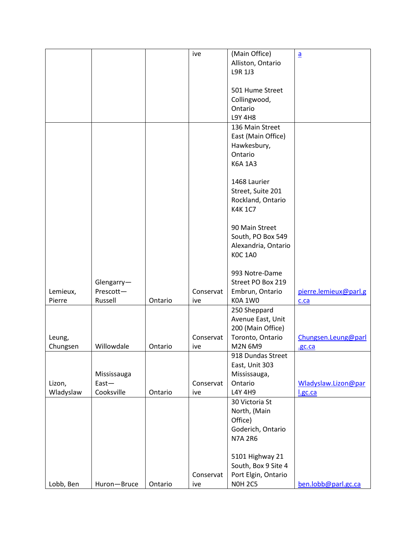|           |             |         | ive       | (Main Office)       | $\underline{a}$       |
|-----------|-------------|---------|-----------|---------------------|-----------------------|
|           |             |         |           | Alliston, Ontario   |                       |
|           |             |         |           | L9R 1J3             |                       |
|           |             |         |           |                     |                       |
|           |             |         |           | 501 Hume Street     |                       |
|           |             |         |           | Collingwood,        |                       |
|           |             |         |           | Ontario             |                       |
|           |             |         |           | <b>L9Y 4H8</b>      |                       |
|           |             |         |           |                     |                       |
|           |             |         |           | 136 Main Street     |                       |
|           |             |         |           | East (Main Office)  |                       |
|           |             |         |           | Hawkesbury,         |                       |
|           |             |         |           | Ontario             |                       |
|           |             |         |           | <b>K6A 1A3</b>      |                       |
|           |             |         |           |                     |                       |
|           |             |         |           | 1468 Laurier        |                       |
|           |             |         |           | Street, Suite 201   |                       |
|           |             |         |           | Rockland, Ontario   |                       |
|           |             |         |           | <b>K4K1C7</b>       |                       |
|           |             |         |           |                     |                       |
|           |             |         |           | 90 Main Street      |                       |
|           |             |         |           | South, PO Box 549   |                       |
|           |             |         |           | Alexandria, Ontario |                       |
|           |             |         |           | <b>KOC 1A0</b>      |                       |
|           |             |         |           |                     |                       |
|           |             |         |           | 993 Notre-Dame      |                       |
|           | Glengarry-  |         |           | Street PO Box 219   |                       |
| Lemieux,  | Prescott-   |         | Conservat | Embrun, Ontario     | pierre.lemieux@parl.g |
| Pierre    | Russell     | Ontario | ive       | <b>K0A 1W0</b>      |                       |
|           |             |         |           |                     | c.ca                  |
|           |             |         |           | 250 Sheppard        |                       |
|           |             |         |           | Avenue East, Unit   |                       |
|           |             |         |           | 200 (Main Office)   |                       |
| Leung,    |             |         | Conservat | Toronto, Ontario    | Chungsen.Leung@parl   |
| Chungsen  | Willowdale  | Ontario | ive       | M2N 6M9             | .gc.ca                |
|           |             |         |           | 918 Dundas Street   |                       |
|           |             |         |           | East, Unit 303      |                       |
|           | Mississauga |         |           | Mississauga,        |                       |
| Lizon,    | $East -$    |         | Conservat | Ontario             | Wladyslaw.Lizon@par   |
| Wladyslaw | Cooksville  | Ontario | ive       | L4Y 4H9             | l.gc.ca               |
|           |             |         |           | 30 Victoria St      |                       |
|           |             |         |           | North, (Main        |                       |
|           |             |         |           | Office)             |                       |
|           |             |         |           | Goderich, Ontario   |                       |
|           |             |         |           | <b>N7A 2R6</b>      |                       |
|           |             |         |           |                     |                       |
|           |             |         |           | 5101 Highway 21     |                       |
|           |             |         |           | South, Box 9 Site 4 |                       |
|           |             |         | Conservat | Port Elgin, Ontario |                       |
| Lobb, Ben | Huron-Bruce | Ontario | ive       | <b>NOH 2C5</b>      | ben.lobb@parl.gc.ca   |
|           |             |         |           |                     |                       |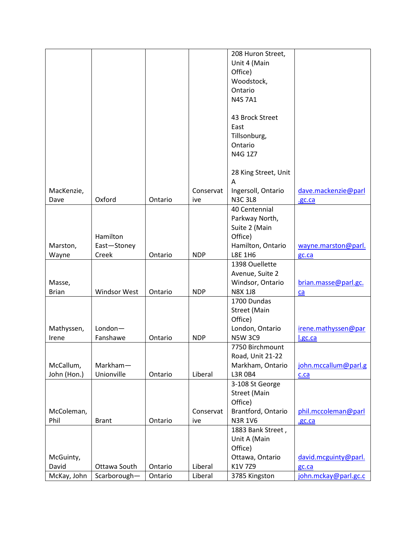|              |                       |         |            | 7750 Birchmount                   |                      |
|--------------|-----------------------|---------|------------|-----------------------------------|----------------------|
|              |                       |         |            | Road, Unit 21-22                  |                      |
| Irene        |                       | Ontario | <b>NDP</b> |                                   | l.gc.ca              |
| Mathyssen,   | $London-$<br>Fanshawe |         |            | London, Ontario<br><b>N5W 3C9</b> | irene.mathyssen@par  |
|              |                       |         |            | Office)                           |                      |
|              |                       |         |            | <b>Street (Main</b>               |                      |
|              |                       |         |            | 1700 Dundas                       |                      |
| <b>Brian</b> | <b>Windsor West</b>   | Ontario | <b>NDP</b> | <b>N8X 1J8</b>                    | ca                   |
| Masse,       |                       |         |            | Windsor, Ontario                  | brian.masse@parl.gc. |
|              |                       |         |            | Avenue, Suite 2                   |                      |
|              |                       |         |            | 1398 Ouellette                    |                      |
| Wayne        | Creek                 | Ontario | <b>NDP</b> |                                   | gc.ca                |
| Marston,     | East-Stoney           |         |            | Hamilton, Ontario<br>L8E 1H6      | wayne.marston@parl.  |
|              |                       |         |            | Office)                           |                      |
|              | Hamilton              |         |            | Suite 2 (Main                     |                      |
|              |                       |         |            |                                   |                      |
|              |                       |         |            | Parkway North,                    |                      |
|              |                       |         |            | 40 Centennial                     |                      |
| Dave         | Oxford                | Ontario | ive        | <b>N3C 3L8</b>                    | .gc.ca               |
| MacKenzie,   |                       |         | Conservat  | Ingersoll, Ontario                | dave.mackenzie@parl  |
|              |                       |         |            | 28 King Street, Unit<br>Α         |                      |
|              |                       |         |            |                                   |                      |
|              |                       |         |            | N4G 1Z7                           |                      |
|              |                       |         |            | Ontario                           |                      |
|              |                       |         |            | Tillsonburg,                      |                      |
|              |                       |         |            | East                              |                      |
|              |                       |         |            | 43 Brock Street                   |                      |
|              |                       |         |            |                                   |                      |
|              |                       |         |            | <b>N4S 7A1</b>                    |                      |
|              |                       |         |            | Ontario                           |                      |
|              |                       |         |            | Woodstock,                        |                      |
|              |                       |         |            | Office)                           |                      |
|              |                       |         |            | Unit 4 (Main                      |                      |
|              |                       |         |            |                                   |                      |
|              |                       |         |            | 208 Huron Street,                 |                      |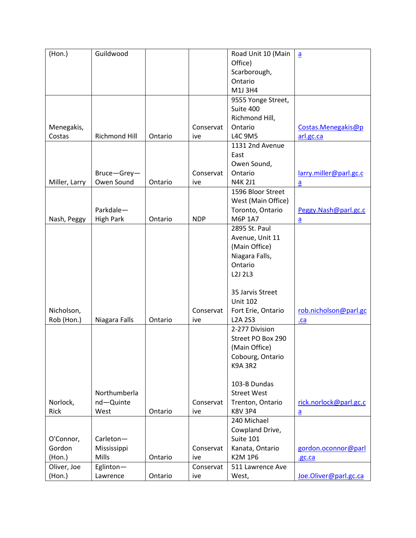| (Hon.)        | Guildwood        |         |            | Road Unit 10 (Main                 | $\underline{a}$        |
|---------------|------------------|---------|------------|------------------------------------|------------------------|
|               |                  |         |            | Office)                            |                        |
|               |                  |         |            | Scarborough,                       |                        |
|               |                  |         |            | Ontario                            |                        |
|               |                  |         |            | M1J3H4                             |                        |
|               |                  |         |            | 9555 Yonge Street,                 |                        |
|               |                  |         |            | Suite 400                          |                        |
|               |                  |         |            | Richmond Hill,                     |                        |
| Menegakis,    |                  |         | Conservat  | Ontario                            | Costas.Menegakis@p     |
| Costas        | Richmond Hill    | Ontario | ive        | L4C 9M5                            | arl.gc.ca              |
|               |                  |         |            | 1131 2nd Avenue                    |                        |
|               |                  |         |            | East                               |                        |
|               |                  |         |            | Owen Sound,                        |                        |
|               | Bruce-Grey-      |         | Conservat  | Ontario                            | larry.miller@parl.gc.c |
| Miller, Larry | Owen Sound       | Ontario | ive        | N4K 2J1                            |                        |
|               |                  |         |            | 1596 Bloor Street                  | $\underline{a}$        |
|               |                  |         |            | West (Main Office)                 |                        |
|               |                  |         |            |                                    |                        |
|               | Parkdale-        |         |            | Toronto, Ontario                   | Peggy.Nash@parl.gc.c   |
| Nash, Peggy   | <b>High Park</b> | Ontario | <b>NDP</b> | M6P 1A7                            | $\underline{a}$        |
|               |                  |         |            | 2895 St. Paul                      |                        |
|               |                  |         |            | Avenue, Unit 11                    |                        |
|               |                  |         |            | (Main Office)                      |                        |
|               |                  |         |            | Niagara Falls,                     |                        |
|               |                  |         |            | Ontario                            |                        |
|               |                  |         |            | L2J 2L3                            |                        |
|               |                  |         |            |                                    |                        |
|               |                  |         |            | 35 Jarvis Street                   |                        |
|               |                  |         |            | <b>Unit 102</b>                    |                        |
| Nicholson,    |                  |         | Conservat  | Fort Erie, Ontario                 | rob.nicholson@parl.gc  |
| Rob (Hon.)    | Niagara Falls    | Ontario | ive        | <b>L2A 2S3</b>                     | .ca                    |
|               |                  |         |            | 2-277 Division                     |                        |
|               |                  |         |            | Street PO Box 290                  |                        |
|               |                  |         |            | (Main Office)                      |                        |
|               |                  |         |            | Cobourg, Ontario                   |                        |
|               |                  |         |            | <b>K9A 3R2</b>                     |                        |
|               |                  |         |            |                                    |                        |
|               |                  |         |            | 103-B Dundas                       |                        |
|               | Northumberla     |         |            | <b>Street West</b>                 |                        |
| Norlock,      |                  |         | Conservat  |                                    |                        |
| Rick          | nd-Quinte        | Ontario |            | Trenton, Ontario<br><b>K8V 3P4</b> | rick.norlock@parl.gc.c |
|               | West             |         | ive        |                                    | $\underline{a}$        |
|               |                  |         |            | 240 Michael                        |                        |
|               |                  |         |            | Cowpland Drive,                    |                        |
| O'Connor,     | Carleton-        |         |            | Suite 101                          |                        |
| Gordon        | Mississippi      |         | Conservat  | Kanata, Ontario                    | gordon.oconnor@parl    |
| (Hon.)        | Mills            | Ontario | ive        | <b>K2M 1P6</b>                     | .gc.ca                 |
| Oliver, Joe   | Eglinton-        |         | Conservat  | 511 Lawrence Ave                   |                        |
| (Hon.)        | Lawrence         | Ontario | ive        | West,                              | Joe.Oliver@parl.gc.ca  |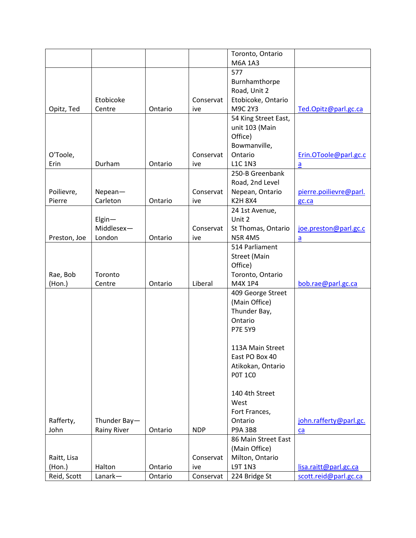|              |                    |         |            | Toronto, Ontario                   |                        |
|--------------|--------------------|---------|------------|------------------------------------|------------------------|
|              |                    |         |            | M6A 1A3                            |                        |
|              |                    |         |            | 577                                |                        |
|              |                    |         |            | Burnhamthorpe                      |                        |
|              |                    |         |            | Road, Unit 2                       |                        |
|              | Etobicoke          |         | Conservat  | Etobicoke, Ontario                 |                        |
| Opitz, Ted   | Centre             | Ontario | ive        | M9C 2Y3                            | Ted.Opitz@parl.gc.ca   |
|              |                    |         |            | 54 King Street East,               |                        |
|              |                    |         |            | unit 103 (Main                     |                        |
|              |                    |         |            | Office)                            |                        |
|              |                    |         |            | Bowmanville,                       |                        |
| O'Toole,     |                    |         | Conservat  | Ontario                            | Erin.OToole@parl.gc.c  |
| Erin         | Durham             | Ontario | ive        | <b>L1C 1N3</b>                     | $\overline{a}$         |
|              |                    |         |            | 250-B Greenbank                    |                        |
|              |                    |         |            | Road, 2nd Level                    |                        |
| Poilievre,   | Nepean             |         | Conservat  | Nepean, Ontario                    | pierre.poilievre@parl. |
| Pierre       | Carleton           | Ontario | ive        | <b>K2H8X4</b>                      | gc.ca                  |
|              |                    |         |            | 24 1st Avenue,                     |                        |
|              | $E$ lgin-          |         |            | Unit 2                             |                        |
|              | Middlesex-         |         | Conservat  | St Thomas, Ontario                 | joe.preston@parl.gc.c  |
| Preston, Joe | London             | Ontario | ive        | <b>N5R4M5</b>                      | a                      |
|              |                    |         |            | 514 Parliament                     |                        |
|              |                    |         |            | <b>Street (Main</b>                |                        |
|              |                    |         |            | Office)                            |                        |
| Rae, Bob     | Toronto            |         |            | Toronto, Ontario                   |                        |
| (Hon.)       | Centre             | Ontario | Liberal    | M4X 1P4                            | bob.rae@parl.gc.ca     |
|              |                    |         |            | 409 George Street<br>(Main Office) |                        |
|              |                    |         |            | Thunder Bay,                       |                        |
|              |                    |         |            | Ontario                            |                        |
|              |                    |         |            | <b>P7E 5Y9</b>                     |                        |
|              |                    |         |            |                                    |                        |
|              |                    |         |            | 113A Main Street                   |                        |
|              |                    |         |            | East PO Box 40                     |                        |
|              |                    |         |            | Atikokan, Ontario                  |                        |
|              |                    |         |            | <b>POT 1CO</b>                     |                        |
|              |                    |         |            |                                    |                        |
|              |                    |         |            | 140 4th Street                     |                        |
|              |                    |         |            | West                               |                        |
|              |                    |         |            | Fort Frances,                      |                        |
| Rafferty,    | Thunder Bay-       |         |            | Ontario                            | john.rafferty@parl.gc. |
| John         | <b>Rainy River</b> | Ontario | <b>NDP</b> | P9A 3B8                            | ca                     |
|              |                    |         |            | 86 Main Street East                |                        |
|              |                    |         |            | (Main Office)                      |                        |
| Raitt, Lisa  |                    |         | Conservat  | Milton, Ontario                    |                        |
| $($ Hon. $)$ | Halton             | Ontario | ive        | L9T 1N3                            | lisa.raitt@parl.gc.ca  |
|              |                    |         |            |                                    |                        |
| Reid, Scott  | Lanark-            | Ontario | Conservat  | 224 Bridge St                      | scott.reid@parl.gc.ca  |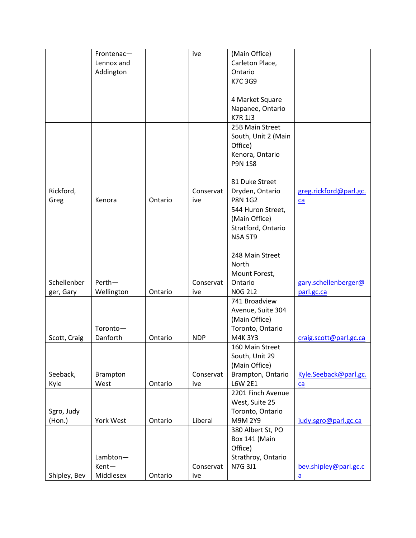|              | Frontenac-      |         | ive        | (Main Office)       |                        |
|--------------|-----------------|---------|------------|---------------------|------------------------|
|              | Lennox and      |         |            | Carleton Place,     |                        |
|              | Addington       |         |            | Ontario             |                        |
|              |                 |         |            | K7C3G9              |                        |
|              |                 |         |            |                     |                        |
|              |                 |         |            |                     |                        |
|              |                 |         |            | 4 Market Square     |                        |
|              |                 |         |            | Napanee, Ontario    |                        |
|              |                 |         |            | <b>K7R 1J3</b>      |                        |
|              |                 |         |            | 25B Main Street     |                        |
|              |                 |         |            | South, Unit 2 (Main |                        |
|              |                 |         |            | Office)             |                        |
|              |                 |         |            | Kenora, Ontario     |                        |
|              |                 |         |            | <b>P9N 1S8</b>      |                        |
|              |                 |         |            |                     |                        |
|              |                 |         |            | 81 Duke Street      |                        |
|              |                 |         |            |                     |                        |
| Rickford,    |                 |         | Conservat  | Dryden, Ontario     | greg.rickford@parl.gc. |
| Greg         | Kenora          | Ontario | ive        | <b>P8N 1G2</b>      | ca                     |
|              |                 |         |            | 544 Huron Street,   |                        |
|              |                 |         |            | (Main Office)       |                        |
|              |                 |         |            | Stratford, Ontario  |                        |
|              |                 |         |            | <b>N5A 5T9</b>      |                        |
|              |                 |         |            |                     |                        |
|              |                 |         |            | 248 Main Street     |                        |
|              |                 |         |            | North               |                        |
|              |                 |         |            |                     |                        |
|              |                 |         |            | Mount Forest,       |                        |
| Schellenber  | Perth-          |         | Conservat  | Ontario             | gary.schellenberger@   |
| ger, Gary    | Wellington      | Ontario | ive        | <b>N0G 2L2</b>      | parl.gc.ca             |
|              |                 |         |            | 741 Broadview       |                        |
|              |                 |         |            | Avenue, Suite 304   |                        |
|              |                 |         |            | (Main Office)       |                        |
|              | Toronto-        |         |            | Toronto, Ontario    |                        |
| Scott, Craig | Danforth        | Ontario | <b>NDP</b> | M4K 3Y3             | craig.scott@parl.gc.ca |
|              |                 |         |            | 160 Main Street     |                        |
|              |                 |         |            | South, Unit 29      |                        |
|              |                 |         |            | (Main Office)       |                        |
|              |                 |         |            |                     |                        |
| Seeback,     | <b>Brampton</b> |         | Conservat  | Brampton, Ontario   | Kyle.Seeback@parl.gc.  |
| Kyle         | West            | Ontario | ive        | <b>L6W 2E1</b>      | $ca$                   |
|              |                 |         |            | 2201 Finch Avenue   |                        |
|              |                 |         |            | West, Suite 25      |                        |
| Sgro, Judy   |                 |         |            | Toronto, Ontario    |                        |
| (Hon.)       | York West       | Ontario | Liberal    | M9M 2Y9             | judy.sgro@parl.gc.ca   |
|              |                 |         |            | 380 Albert St, PO   |                        |
|              |                 |         |            | Box 141 (Main       |                        |
|              |                 |         |            | Office)             |                        |
|              |                 |         |            |                     |                        |
|              | Lambton-        |         |            | Strathroy, Ontario  |                        |
|              | Kent-           |         | Conservat  | N7G 3J1             | bev.shipley@parl.gc.c  |
| Shipley, Bev | Middlesex       | Ontario | ive        |                     | $\underline{a}$        |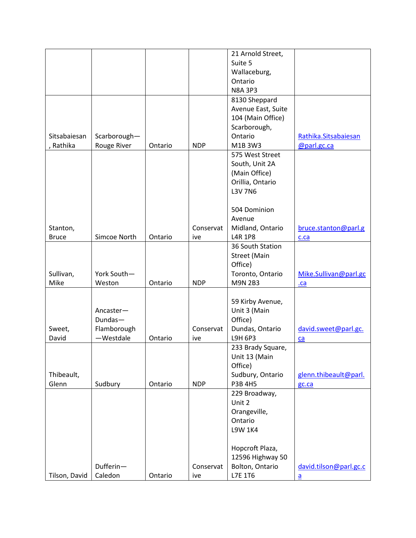|               |              |         |            | 21 Arnold Street,   |                        |
|---------------|--------------|---------|------------|---------------------|------------------------|
|               |              |         |            | Suite 5             |                        |
|               |              |         |            | Wallaceburg,        |                        |
|               |              |         |            | Ontario             |                        |
|               |              |         |            | <b>N8A 3P3</b>      |                        |
|               |              |         |            | 8130 Sheppard       |                        |
|               |              |         |            | Avenue East, Suite  |                        |
|               |              |         |            | 104 (Main Office)   |                        |
|               |              |         |            | Scarborough,        |                        |
| Sitsabaiesan  | Scarborough- |         |            | Ontario             | Rathika.Sitsabaiesan   |
| , Rathika     | Rouge River  | Ontario | <b>NDP</b> | M1B 3W3             | @parl.gc.ca            |
|               |              |         |            | 575 West Street     |                        |
|               |              |         |            | South, Unit 2A      |                        |
|               |              |         |            | (Main Office)       |                        |
|               |              |         |            | Orillia, Ontario    |                        |
|               |              |         |            | L3V 7N6             |                        |
|               |              |         |            |                     |                        |
|               |              |         |            |                     |                        |
|               |              |         |            | 504 Dominion        |                        |
|               |              |         |            | Avenue              |                        |
| Stanton,      |              |         | Conservat  | Midland, Ontario    | bruce.stanton@parl.g   |
| <b>Bruce</b>  | Simcoe North | Ontario | ive        | <b>L4R 1P8</b>      | c.ca                   |
|               |              |         |            | 36 South Station    |                        |
|               |              |         |            | <b>Street (Main</b> |                        |
|               |              |         |            | Office)             |                        |
| Sullivan,     | York South-  |         |            | Toronto, Ontario    | Mike.Sullivan@parl.gc  |
| Mike          | Weston       | Ontario | <b>NDP</b> | <b>M9N 2B3</b>      | $ca$                   |
|               |              |         |            |                     |                        |
|               |              |         |            | 59 Kirby Avenue,    |                        |
|               | Ancaster-    |         |            | Unit 3 (Main        |                        |
|               | Dundas-      |         |            | Office)             |                        |
| Sweet,        | Flamborough  |         | Conservat  | Dundas, Ontario     | david.sweet@parl.gc.   |
| David         | -Westdale    | Ontario | ive        | L9H 6P3             | ca                     |
|               |              |         |            | 233 Brady Square,   |                        |
|               |              |         |            | Unit 13 (Main       |                        |
|               |              |         |            | Office)             |                        |
| Thibeault,    |              |         |            | Sudbury, Ontario    | glenn.thibeault@parl.  |
| Glenn         | Sudbury      | Ontario | <b>NDP</b> | P3B 4H5             | gc.ca                  |
|               |              |         |            | 229 Broadway,       |                        |
|               |              |         |            | Unit 2              |                        |
|               |              |         |            | Orangeville,        |                        |
|               |              |         |            | Ontario             |                        |
|               |              |         |            | <b>L9W 1K4</b>      |                        |
|               |              |         |            |                     |                        |
|               |              |         |            | Hopcroft Plaza,     |                        |
|               |              |         |            |                     |                        |
|               |              |         |            | 12596 Highway 50    |                        |
|               | Dufferin-    |         | Conservat  | Bolton, Ontario     | david.tilson@parl.gc.c |
| Tilson, David | Caledon      | Ontario | ive        | L7E 1T6             | $\underline{a}$        |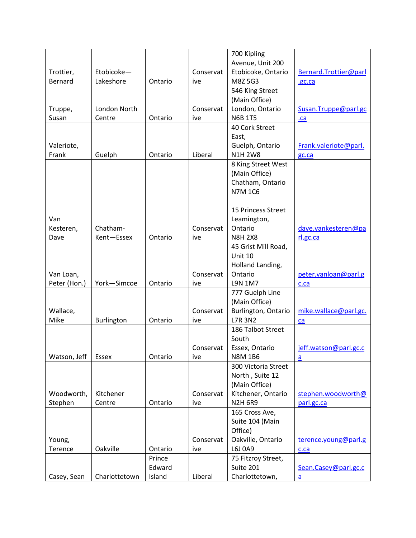|                   |         |           | 700 Kipling         |                                                    |
|-------------------|---------|-----------|---------------------|----------------------------------------------------|
|                   |         |           | Avenue, Unit 200    |                                                    |
| Etobicoke-        |         | Conservat | Etobicoke, Ontario  | Bernard.Trottier@parl                              |
| Lakeshore         | Ontario | ive       | M8Z 5G3             | .gc.ca                                             |
|                   |         |           | 546 King Street     |                                                    |
|                   |         |           | (Main Office)       |                                                    |
| London North      |         | Conservat | London, Ontario     | Susan.Truppe@parl.gc                               |
| Centre            | Ontario | ive       | <b>N6B 1T5</b>      | .ca                                                |
|                   |         |           | 40 Cork Street      |                                                    |
|                   |         |           | East,               |                                                    |
|                   |         |           | Guelph, Ontario     | Frank.valeriote@parl.                              |
| Guelph            | Ontario | Liberal   | <b>N1H 2W8</b>      | gc.ca                                              |
|                   |         |           | 8 King Street West  |                                                    |
|                   |         |           | (Main Office)       |                                                    |
|                   |         |           | Chatham, Ontario    |                                                    |
|                   |         |           | <b>N7M 1C6</b>      |                                                    |
|                   |         |           |                     |                                                    |
|                   |         |           | 15 Princess Street  |                                                    |
|                   |         |           | Leamington,         |                                                    |
| Chatham-          |         | Conservat | Ontario             | dave.vankesteren@pa                                |
| Kent-Essex        | Ontario | ive       | <b>N8H 2X8</b>      | rl.gc.ca                                           |
|                   |         |           | 45 Grist Mill Road, |                                                    |
|                   |         |           | Unit 10             |                                                    |
|                   |         |           | Holland Landing,    |                                                    |
|                   |         | Conservat | Ontario             | peter.vanloan@parl.g                               |
| York-Simcoe       | Ontario | ive       | L9N 1M7             | c.ca                                               |
|                   |         |           | 777 Guelph Line     |                                                    |
|                   |         |           | (Main Office)       |                                                    |
|                   |         | Conservat | Burlington, Ontario | mike.wallace@parl.gc.                              |
| <b>Burlington</b> | Ontario | ive       | <b>L7R 3N2</b>      | ca                                                 |
|                   |         |           | 186 Talbot Street   |                                                    |
|                   |         |           | South               |                                                    |
|                   |         | Conservat | Essex, Ontario      | jeff.watson@parl.gc.c                              |
| Essex             | Ontario | ive       | <b>N8M 1B6</b>      | a                                                  |
|                   |         |           | 300 Victoria Street |                                                    |
|                   |         |           |                     |                                                    |
|                   |         |           |                     |                                                    |
| Kitchener         |         | Conservat | Kitchener, Ontario  | stephen.woodworth@                                 |
| Centre            | Ontario | ive       | <b>N2H 6R9</b>      | parl.gc.ca                                         |
|                   |         |           |                     |                                                    |
|                   |         |           | Suite 104 (Main     |                                                    |
|                   |         |           | Office)             |                                                    |
|                   |         | Conservat | Oakville, Ontario   | terence.young@parl.g                               |
| Oakville          | Ontario | ive       | L6J 0A9             | c.ca                                               |
|                   | Prince  |           | 75 Fitzroy Street,  |                                                    |
|                   | Edward  |           | Suite 201           | Sean.Casey@parl.gc.c                               |
| Charlottetown     | Island  | Liberal   | Charlottetown,      | $\underline{a}$                                    |
|                   |         |           |                     | North, Suite 12<br>(Main Office)<br>165 Cross Ave, |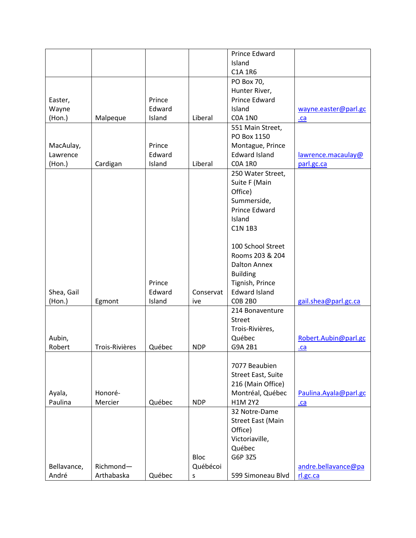|              |                |        |             | Prince Edward             |                        |
|--------------|----------------|--------|-------------|---------------------------|------------------------|
|              |                |        |             | Island                    |                        |
|              |                |        |             | C1A 1R6                   |                        |
|              |                |        |             | PO Box 70,                |                        |
|              |                |        |             | Hunter River,             |                        |
| Easter,      |                | Prince |             | Prince Edward             |                        |
| Wayne        |                | Edward |             | Island                    | wayne.easter@parl.gc   |
| (Hon.)       | Malpeque       | Island | Liberal     | <b>COA 1NO</b>            | $ca$                   |
|              |                |        |             | 551 Main Street,          |                        |
|              |                |        |             | PO Box 1150               |                        |
| MacAulay,    |                | Prince |             | Montague, Prince          |                        |
| Lawrence     |                | Edward |             | <b>Edward Island</b>      |                        |
|              |                |        |             |                           | lawrence.macaulay@     |
| $($ Hon. $)$ | Cardigan       | Island | Liberal     | <b>COA 1RO</b>            | parl.gc.ca             |
|              |                |        |             | 250 Water Street,         |                        |
|              |                |        |             | Suite F (Main             |                        |
|              |                |        |             | Office)                   |                        |
|              |                |        |             | Summerside,               |                        |
|              |                |        |             | <b>Prince Edward</b>      |                        |
|              |                |        |             | Island                    |                        |
|              |                |        |             | <b>C1N 1B3</b>            |                        |
|              |                |        |             |                           |                        |
|              |                |        |             | 100 School Street         |                        |
|              |                |        |             | Rooms 203 & 204           |                        |
|              |                |        |             | <b>Dalton Annex</b>       |                        |
|              |                |        |             | <b>Building</b>           |                        |
|              |                | Prince |             | Tignish, Prince           |                        |
| Shea, Gail   |                | Edward | Conservat   | <b>Edward Island</b>      |                        |
| (Hon.)       | Egmont         | Island | ive         | <b>COB 2BO</b>            | gail.shea@parl.gc.ca   |
|              |                |        |             | 214 Bonaventure           |                        |
|              |                |        |             | <b>Street</b>             |                        |
|              |                |        |             | Trois-Rivières,           |                        |
| Aubin,       |                |        |             | Québec                    | Robert.Aubin@parl.gc   |
| Robert       | Trois-Rivières | Québec | <b>NDP</b>  | G9A 2B1                   | .ca                    |
|              |                |        |             |                           |                        |
|              |                |        |             | 7077 Beaubien             |                        |
|              |                |        |             | <b>Street East, Suite</b> |                        |
|              |                |        |             |                           |                        |
|              |                |        |             | 216 (Main Office)         |                        |
| Ayala,       | Honoré-        |        |             | Montréal, Québec          | Paulina. Ayala@parl.gc |
| Paulina      | Mercier        | Québec | <b>NDP</b>  | H1M 2Y2                   | $ca$                   |
|              |                |        |             | 32 Notre-Dame             |                        |
|              |                |        |             | <b>Street East (Main</b>  |                        |
|              |                |        |             | Office)                   |                        |
|              |                |        |             | Victoriaville,            |                        |
|              |                |        |             | Québec                    |                        |
|              |                |        | <b>Bloc</b> | G6P 3Z5                   |                        |
| Bellavance,  | Richmond-      |        | Québécoi    |                           | andre.bellavance@pa    |
| André        | Arthabaska     | Québec | S           | 599 Simoneau Blvd         | rl.gc.ca               |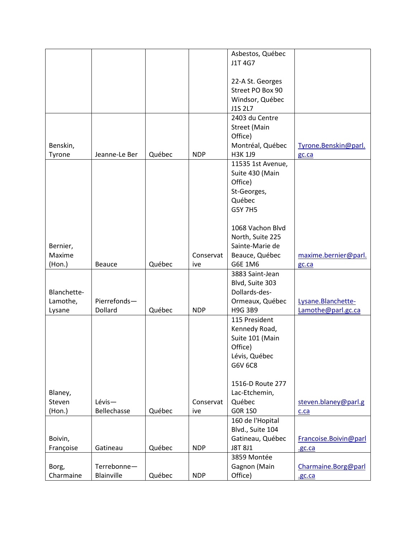|              |               |        |            | Asbestos, Québec  |                       |
|--------------|---------------|--------|------------|-------------------|-----------------------|
|              |               |        |            | J1T 4G7           |                       |
|              |               |        |            |                   |                       |
|              |               |        |            | 22-A St. Georges  |                       |
|              |               |        |            |                   |                       |
|              |               |        |            | Street PO Box 90  |                       |
|              |               |        |            | Windsor, Québec   |                       |
|              |               |        |            | J1S 2L7           |                       |
|              |               |        |            | 2403 du Centre    |                       |
|              |               |        |            | Street (Main      |                       |
|              |               |        |            | Office)           |                       |
| Benskin,     |               |        |            | Montréal, Québec  | Tyrone.Benskin@parl.  |
| Tyrone       | Jeanne-Le Ber | Québec | <b>NDP</b> | H3K 1J9           | gc.ca                 |
|              |               |        |            | 11535 1st Avenue, |                       |
|              |               |        |            | Suite 430 (Main   |                       |
|              |               |        |            | Office)           |                       |
|              |               |        |            | St-Georges,       |                       |
|              |               |        |            | Québec            |                       |
|              |               |        |            |                   |                       |
|              |               |        |            | <b>G5Y 7H5</b>    |                       |
|              |               |        |            |                   |                       |
|              |               |        |            | 1068 Vachon Blvd  |                       |
|              |               |        |            | North, Suite 225  |                       |
| Bernier,     |               |        |            | Sainte-Marie de   |                       |
| Maxime       |               |        | Conservat  | Beauce, Québec    | maxime.bernier@parl.  |
| $($ Hon. $)$ | <b>Beauce</b> | Québec | ive        | G6E 1M6           | gc.ca                 |
|              |               |        |            | 3883 Saint-Jean   |                       |
|              |               |        |            | Blvd, Suite 303   |                       |
| Blanchette-  |               |        |            | Dollards-des-     |                       |
| Lamothe,     | Pierrefonds-  |        |            | Ormeaux, Québec   | Lysane. Blanchette-   |
| Lysane       | Dollard       | Québec | <b>NDP</b> | <b>H9G 3B9</b>    | Lamothe@parl.gc.ca    |
|              |               |        |            | 115 President     |                       |
|              |               |        |            |                   |                       |
|              |               |        |            | Kennedy Road,     |                       |
|              |               |        |            | Suite 101 (Main   |                       |
|              |               |        |            | Office)           |                       |
|              |               |        |            | Lévis, Québec     |                       |
|              |               |        |            | G6V 6C8           |                       |
|              |               |        |            |                   |                       |
|              |               |        |            | 1516-D Route 277  |                       |
| Blaney,      |               |        |            | Lac-Etchemin,     |                       |
| Steven       | Lévis-        |        | Conservat  | Québec            | steven.blaney@parl.g  |
| (Hon.)       | Bellechasse   | Québec | ive        | <b>GOR 1SO</b>    | c.ca                  |
|              |               |        |            | 160 de l'Hopital  |                       |
|              |               |        |            |                   |                       |
|              |               |        |            | Blvd., Suite 104  |                       |
| Boivin,      |               |        |            | Gatineau, Québec  | Francoise.Boivin@parl |
| Françoise    | Gatineau      | Québec | <b>NDP</b> | J8T 8J1           | .gc.ca                |
|              |               |        |            | 3859 Montée       |                       |
| Borg,        | Terrebonne-   |        |            | Gagnon (Main      | Charmaine.Borg@parl   |
| Charmaine    | Blainville    | Québec | <b>NDP</b> | Office)           | .gc.ca                |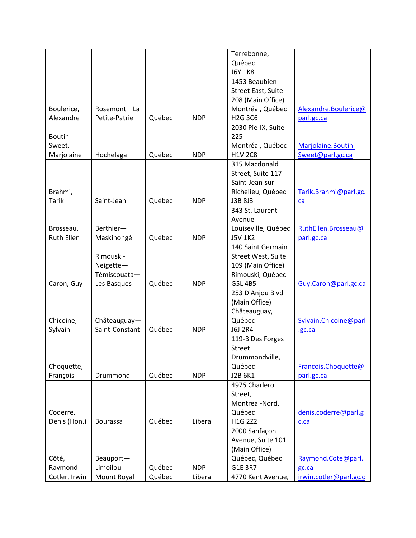|                   |                 |        |            | Terrebonne,                      |                        |
|-------------------|-----------------|--------|------------|----------------------------------|------------------------|
|                   |                 |        |            | Québec                           |                        |
|                   |                 |        |            | <b>J6Y 1K8</b>                   |                        |
|                   |                 |        |            | 1453 Beaubien                    |                        |
|                   |                 |        |            | <b>Street East, Suite</b>        |                        |
|                   |                 |        |            | 208 (Main Office)                |                        |
| Boulerice,        | Rosemont-La     |        |            | Montréal, Québec                 | Alexandre.Boulerice@   |
| Alexandre         | Petite-Patrie   | Québec | <b>NDP</b> | H <sub>2</sub> G 3C <sub>6</sub> | parl.gc.ca             |
|                   |                 |        |            | 2030 Pie-IX, Suite               |                        |
| Boutin-           |                 |        |            | 225                              |                        |
| Sweet,            |                 |        |            | Montréal, Québec                 | Marjolaine.Boutin-     |
| Marjolaine        | Hochelaga       | Québec | <b>NDP</b> | <b>H1V 2C8</b>                   | Sweet@parl.gc.ca       |
|                   |                 |        |            | 315 Macdonald                    |                        |
|                   |                 |        |            | Street, Suite 117                |                        |
|                   |                 |        |            | Saint-Jean-sur-                  |                        |
| Brahmi,           |                 |        |            | Richelieu, Québec                | Tarik.Brahmi@parl.gc.  |
| <b>Tarik</b>      | Saint-Jean      | Québec | <b>NDP</b> | J3B 8J3                          | ca                     |
|                   |                 |        |            | 343 St. Laurent                  |                        |
|                   |                 |        |            | Avenue                           |                        |
| Brosseau,         | Berthier-       |        |            | Louiseville, Québec              | RuthEllen.Brosseau@    |
| <b>Ruth Ellen</b> | Maskinongé      | Québec | <b>NDP</b> | <b>J5V 1K2</b>                   | parl.gc.ca             |
|                   |                 |        |            | 140 Saint Germain                |                        |
|                   | Rimouski-       |        |            | Street West, Suite               |                        |
|                   | Neigette-       |        |            | 109 (Main Office)                |                        |
|                   | Témiscouata-    |        |            | Rimouski, Québec                 |                        |
| Caron, Guy        | Les Basques     | Québec | <b>NDP</b> | G5L 4B5                          | Guy.Caron@parl.gc.ca   |
|                   |                 |        |            | 253 D'Anjou Blvd                 |                        |
|                   |                 |        |            | (Main Office)                    |                        |
|                   |                 |        |            | Châteauguay,                     |                        |
| Chicoine,         | Châteauguay-    |        |            | Québec                           | Sylvain. Chicoine@parl |
| Sylvain           | Saint-Constant  | Québec | <b>NDP</b> | J6J 2R4                          | .gc.ca                 |
|                   |                 |        |            | 119-B Des Forges                 |                        |
|                   |                 |        |            | <b>Street</b>                    |                        |
|                   |                 |        |            | Drummondville,                   |                        |
| Choquette,        |                 |        |            | Québec                           | Francois.Choquette@    |
| François          | Drummond        | Québec | <b>NDP</b> | J2B 6K1                          | parl.gc.ca             |
|                   |                 |        |            | 4975 Charleroi                   |                        |
|                   |                 |        |            | Street,                          |                        |
|                   |                 |        |            | Montreal-Nord,                   |                        |
| Coderre,          |                 |        |            | Québec                           | denis.coderre@parl.g   |
| Denis (Hon.)      | <b>Bourassa</b> | Québec | Liberal    | H1G 2Z2                          | c.ca                   |
|                   |                 |        |            | 2000 Sanfaçon                    |                        |
|                   |                 |        |            | Avenue, Suite 101                |                        |
|                   |                 |        |            | (Main Office)                    |                        |
| Côté,             | Beauport-       |        |            | Québec, Québec                   | Raymond.Cote@parl.     |
| Raymond           | Limoilou        | Québec | <b>NDP</b> | G1E 3R7                          | gc.ca                  |
| Cotler, Irwin     | Mount Royal     | Québec | Liberal    | 4770 Kent Avenue,                | irwin.cotler@parl.gc.c |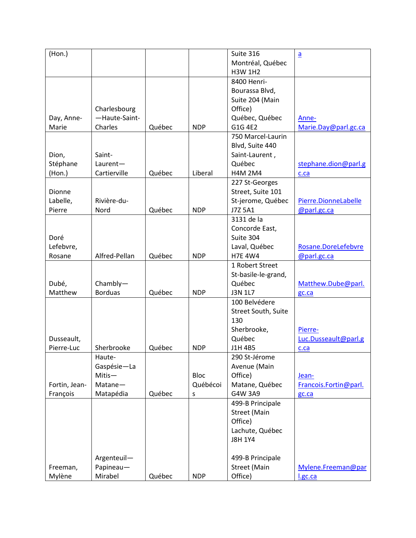| (Hon.)        |                |        |             | Suite 316           | $\underline{a}$       |
|---------------|----------------|--------|-------------|---------------------|-----------------------|
|               |                |        |             | Montréal, Québec    |                       |
|               |                |        |             | <b>H3W 1H2</b>      |                       |
|               |                |        |             | 8400 Henri-         |                       |
|               |                |        |             | Bourassa Blvd,      |                       |
|               |                |        |             |                     |                       |
|               |                |        |             | Suite 204 (Main     |                       |
|               | Charlesbourg   |        |             | Office)             |                       |
| Day, Anne-    | -Haute-Saint-  |        |             | Québec, Québec      | Anne-                 |
| Marie         | Charles        | Québec | <b>NDP</b>  | G1G 4E2             | Marie.Day@parl.gc.ca  |
|               |                |        |             | 750 Marcel-Laurin   |                       |
|               |                |        |             | Blvd, Suite 440     |                       |
| Dion,         | Saint-         |        |             | Saint-Laurent,      |                       |
| Stéphane      | Laurent-       |        |             | Québec              | stephane.dion@parl.g  |
| (Hon.)        | Cartierville   | Québec | Liberal     | <b>H4M 2M4</b>      | c.ca                  |
|               |                |        |             | 227 St-Georges      |                       |
| Dionne        |                |        |             | Street, Suite 101   |                       |
| Labelle,      | Rivière-du-    |        |             | St-jerome, Québec   | Pierre.DionneLabelle  |
| Pierre        | Nord           | Québec | <b>NDP</b>  | J7Z 5A1             | @parl.gc.ca           |
|               |                |        |             | 3131 de la          |                       |
|               |                |        |             | Concorde East,      |                       |
| Doré          |                |        |             | Suite 304           |                       |
| Lefebvre,     |                |        |             | Laval, Québec       | Rosane.DoreLefebvre   |
| Rosane        | Alfred-Pellan  | Québec | <b>NDP</b>  | <b>H7E 4W4</b>      | @parl.gc.ca           |
|               |                |        |             | 1 Robert Street     |                       |
|               |                |        |             | St-basile-le-grand, |                       |
| Dubé,         | $Chambly-$     |        |             | Québec              | Matthew.Dube@parl.    |
| Matthew       | <b>Borduas</b> | Québec | <b>NDP</b>  | J3N 1L7             |                       |
|               |                |        |             | 100 Belvédere       | gc.ca                 |
|               |                |        |             |                     |                       |
|               |                |        |             | Street South, Suite |                       |
|               |                |        |             | 130                 |                       |
|               |                |        |             | Sherbrooke,         | Pierre-               |
| Dusseault,    |                |        |             | Québec              | Luc.Dusseault@parl.g  |
| Pierre-Luc    | Sherbrooke     | Québec | <b>NDP</b>  | J1H 4B5             | c.ca                  |
|               | Haute-         |        |             | 290 St-Jérome       |                       |
|               | Gaspésie-La    |        |             | Avenue (Main        |                       |
|               | Mitis-         |        | <b>Bloc</b> | Office)             | Jean-                 |
| Fortin, Jean- | Matane-        |        | Québécoi    | Matane, Québec      | Francois.Fortin@parl. |
| François      | Matapédia      | Québec | S           | G4W 3A9             | gc.ca                 |
|               |                |        |             | 499-B Principale    |                       |
|               |                |        |             | <b>Street (Main</b> |                       |
|               |                |        |             | Office)             |                       |
|               |                |        |             | Lachute, Québec     |                       |
|               |                |        |             | <b>J8H 1Y4</b>      |                       |
|               |                |        |             |                     |                       |
|               | Argenteuil-    |        |             | 499-B Principale    |                       |
| Freeman,      | Papineau-      |        |             | <b>Street (Main</b> | Mylene.Freeman@par    |
| Mylène        | Mirabel        | Québec | <b>NDP</b>  | Office)             | l.gc.ca               |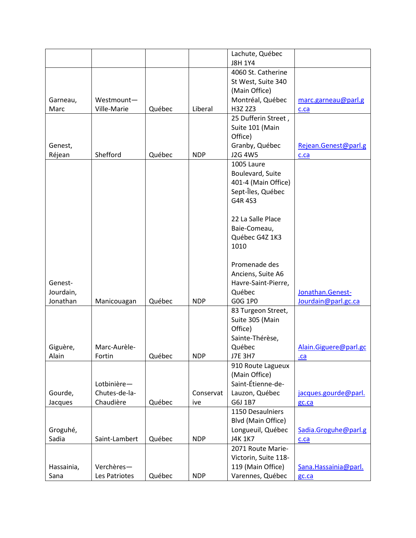|            |               |        |            | Lachute, Québec      |                       |
|------------|---------------|--------|------------|----------------------|-----------------------|
|            |               |        |            | <b>J8H 1Y4</b>       |                       |
|            |               |        |            | 4060 St. Catherine   |                       |
|            |               |        |            | St West, Suite 340   |                       |
|            |               |        |            | (Main Office)        |                       |
| Garneau,   | Westmount-    |        |            | Montréal, Québec     | marc.garneau@parl.g   |
| Marc       | Ville-Marie   | Québec | Liberal    | H3Z 2Z3              | c.ca                  |
|            |               |        |            | 25 Dufferin Street,  |                       |
|            |               |        |            | Suite 101 (Main      |                       |
|            |               |        |            | Office)              |                       |
| Genest,    |               |        |            | Granby, Québec       | Rejean.Genest@parl.g  |
| Réjean     | Shefford      | Québec | <b>NDP</b> | J2G 4W5              | c.ca                  |
|            |               |        |            | 1005 Laure           |                       |
|            |               |        |            | Boulevard, Suite     |                       |
|            |               |        |            | 401-4 (Main Office)  |                       |
|            |               |        |            | Sept-Îles, Québec    |                       |
|            |               |        |            | G4R 4S3              |                       |
|            |               |        |            |                      |                       |
|            |               |        |            | 22 La Salle Place    |                       |
|            |               |        |            | Baie-Comeau,         |                       |
|            |               |        |            | Québec G4Z 1K3       |                       |
|            |               |        |            | 1010                 |                       |
|            |               |        |            |                      |                       |
|            |               |        |            | Promenade des        |                       |
|            |               |        |            | Anciens, Suite A6    |                       |
| Genest-    |               |        |            | Havre-Saint-Pierre,  |                       |
| Jourdain,  |               |        |            | Québec               | Jonathan.Genest-      |
| Jonathan   | Manicouagan   | Québec | <b>NDP</b> | G0G 1P0              | Jourdain@parl.gc.ca   |
|            |               |        |            | 83 Turgeon Street,   |                       |
|            |               |        |            | Suite 305 (Main      |                       |
|            |               |        |            | Office)              |                       |
|            |               |        |            | Sainte-Thérèse,      |                       |
| Giguère,   | Marc-Aurèle-  |        |            | Québec               | Alain.Giguere@parl.gc |
| Alain      | Fortin        | Québec | <b>NDP</b> | <b>J7E 3H7</b>       |                       |
|            |               |        |            | 910 Route Lagueux    | $ca$                  |
|            |               |        |            | (Main Office)        |                       |
|            | Lotbinière-   |        |            | Saint-Étienne-de-    |                       |
|            | Chutes-de-la- |        | Conservat  | Lauzon, Québec       |                       |
| Gourde,    |               |        |            |                      | jacques.gourde@parl.  |
| Jacques    | Chaudière     | Québec | ive        | G6J 1B7              | gc.ca                 |
|            |               |        |            | 1150 Desaulniers     |                       |
|            |               |        |            | Blvd (Main Office)   |                       |
| Groguhé,   |               |        |            | Longueuil, Québec    | Sadia.Groguhe@parl.g  |
| Sadia      | Saint-Lambert | Québec | <b>NDP</b> | <b>J4K 1K7</b>       | c.ca                  |
|            |               |        |            | 2071 Route Marie-    |                       |
|            |               |        |            | Victorin, Suite 118- |                       |
| Hassainia, | Verchères-    |        |            | 119 (Main Office)    | Sana. Hassainia@parl. |
| Sana       | Les Patriotes | Québec | <b>NDP</b> | Varennes, Québec     | gc.ca                 |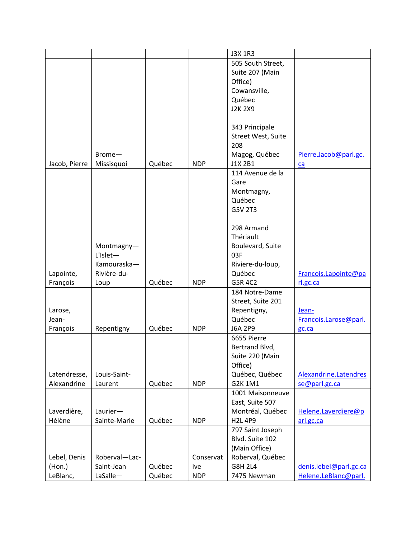|               |                |        |            | <b>J3X 1R3</b>     |                        |
|---------------|----------------|--------|------------|--------------------|------------------------|
|               |                |        |            | 505 South Street,  |                        |
|               |                |        |            | Suite 207 (Main    |                        |
|               |                |        |            | Office)            |                        |
|               |                |        |            |                    |                        |
|               |                |        |            | Cowansville,       |                        |
|               |                |        |            | Québec             |                        |
|               |                |        |            | <b>J2K 2X9</b>     |                        |
|               |                |        |            |                    |                        |
|               |                |        |            | 343 Principale     |                        |
|               |                |        |            | Street West, Suite |                        |
|               |                |        |            | 208                |                        |
|               | Brome-         |        |            | Magog, Québec      | Pierre.Jacob@parl.gc.  |
| Jacob, Pierre | Missisquoi     | Québec | <b>NDP</b> | J1X 2B1            | ca                     |
|               |                |        |            | 114 Avenue de la   |                        |
|               |                |        |            | Gare               |                        |
|               |                |        |            | Montmagny,         |                        |
|               |                |        |            | Québec             |                        |
|               |                |        |            | G5V 2T3            |                        |
|               |                |        |            |                    |                        |
|               |                |        |            |                    |                        |
|               |                |        |            | 298 Armand         |                        |
|               |                |        |            | Thériault          |                        |
|               | Montmagny-     |        |            | Boulevard, Suite   |                        |
|               | $L'$ Islet $-$ |        |            | 03F                |                        |
|               | Kamouraska-    |        |            | Riviere-du-loup,   |                        |
| Lapointe,     | Rivière-du-    |        |            | Québec             | Francois.Lapointe@pa   |
| François      | Loup           | Québec | <b>NDP</b> | G5R 4C2            | rl.gc.ca               |
|               |                |        |            | 184 Notre-Dame     |                        |
|               |                |        |            | Street, Suite 201  |                        |
| Larose,       |                |        |            | Repentigny,        | Jean-                  |
| Jean-         |                |        |            | Québec             | Francois.Larose@parl.  |
| François      | Repentigny     | Québec | <b>NDP</b> | J6A 2P9            | gc.ca                  |
|               |                |        |            | 6655 Pierre        |                        |
|               |                |        |            | Bertrand Blvd,     |                        |
|               |                |        |            | Suite 220 (Main    |                        |
|               |                |        |            | Office)            |                        |
|               | Louis-Saint-   |        |            |                    |                        |
| Latendresse,  |                |        |            | Québec, Québec     | Alexandrine.Latendres  |
| Alexandrine   | Laurent        | Québec | <b>NDP</b> | G2K 1M1            | se@parl.gc.ca          |
|               |                |        |            | 1001 Maisonneuve   |                        |
|               |                |        |            | East, Suite 507    |                        |
| Laverdière,   | Laurier-       |        |            | Montréal, Québec   | Helene.Laverdiere@p    |
| Hélène        | Sainte-Marie   | Québec | <b>NDP</b> | <b>H2L 4P9</b>     | arl.gc.ca              |
|               |                |        |            | 797 Saint Joseph   |                        |
|               |                |        |            | Blvd. Suite 102    |                        |
|               |                |        |            | (Main Office)      |                        |
| Lebel, Denis  | Roberval-Lac-  |        | Conservat  | Roberval, Québec   |                        |
| $($ Hon. $)$  | Saint-Jean     | Québec | ive        | <b>G8H 2L4</b>     | denis.lebel@parl.gc.ca |
| LeBlanc,      | LaSalle-       | Québec | <b>NDP</b> | 7475 Newman        | Helene.LeBlanc@parl.   |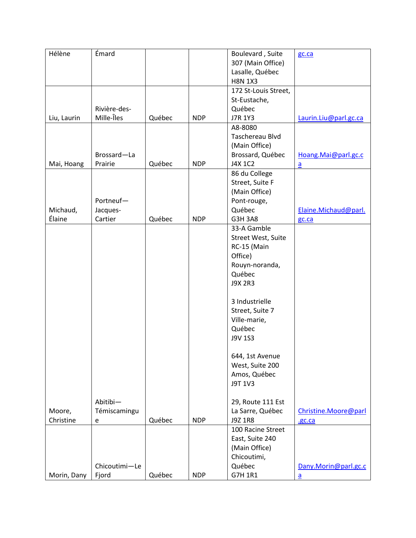| Hélène      | Émard         |        |            |                      |                          |
|-------------|---------------|--------|------------|----------------------|--------------------------|
|             |               |        |            | Boulevard, Suite     | gc.ca                    |
|             |               |        |            | 307 (Main Office)    |                          |
|             |               |        |            | Lasalle, Québec      |                          |
|             |               |        |            | <b>H8N 1X3</b>       |                          |
|             |               |        |            | 172 St-Louis Street, |                          |
|             |               |        |            | St-Eustache,         |                          |
|             | Rivière-des-  |        |            | Québec               |                          |
| Liu, Laurin | Mille-Îles    | Québec | <b>NDP</b> | J7R 1Y3              | Laurin.Liu@parl.gc.ca    |
|             |               |        |            | A8-8080              |                          |
|             |               |        |            | Taschereau Blvd      |                          |
|             |               |        |            | (Main Office)        |                          |
|             | Brossard-La   |        |            | Brossard, Québec     | Hoang.Mai@parl.gc.c      |
|             | Prairie       | Québec | <b>NDP</b> | J4X 1C2              |                          |
| Mai, Hoang  |               |        |            |                      | $\overline{a}$           |
|             |               |        |            | 86 du College        |                          |
|             |               |        |            | Street, Suite F      |                          |
|             |               |        |            | (Main Office)        |                          |
|             | Portneuf-     |        |            | Pont-rouge,          |                          |
| Michaud,    | Jacques-      |        |            | Québec               | Elaine.Michaud@parl.     |
| Élaine      | Cartier       | Québec | <b>NDP</b> | <b>G3H 3A8</b>       | gc.ca                    |
|             |               |        |            | 33-A Gamble          |                          |
|             |               |        |            | Street West, Suite   |                          |
|             |               |        |            | RC-15 (Main          |                          |
|             |               |        |            | Office)              |                          |
|             |               |        |            | Rouyn-noranda,       |                          |
|             |               |        |            | Québec               |                          |
|             |               |        |            | <b>J9X 2R3</b>       |                          |
|             |               |        |            |                      |                          |
|             |               |        |            |                      |                          |
|             |               |        |            | 3 Industrielle       |                          |
|             |               |        |            | Street, Suite 7      |                          |
|             |               |        |            | Ville-marie,         |                          |
|             |               |        |            | Québec               |                          |
|             |               |        |            | J9V 1S3              |                          |
|             |               |        |            |                      |                          |
|             |               |        |            | 644, 1st Avenue      |                          |
|             |               |        |            | West, Suite 200      |                          |
|             |               |        |            | Amos, Québec         |                          |
|             |               |        |            | J9T 1V3              |                          |
|             |               |        |            |                      |                          |
|             | Abitibi-      |        |            |                      |                          |
|             |               |        |            | 29, Route 111 Est    |                          |
| Moore,      | Témiscamingu  |        |            | La Sarre, Québec     | Christine.Moore@parl     |
| Christine   | e             | Québec | <b>NDP</b> | J9Z 1R8              | .gc.ca                   |
|             |               |        |            | 100 Racine Street    |                          |
|             |               |        |            | East, Suite 240      |                          |
|             |               |        |            | (Main Office)        |                          |
|             |               |        |            | Chicoutimi,          |                          |
|             | Chicoutimi-Le |        |            | Québec               | Dany.Morin@parl.gc.c     |
| Morin, Dany | Fjord         | Québec | <b>NDP</b> | G7H 1R1              | $\underline{\mathbf{a}}$ |
|             |               |        |            |                      |                          |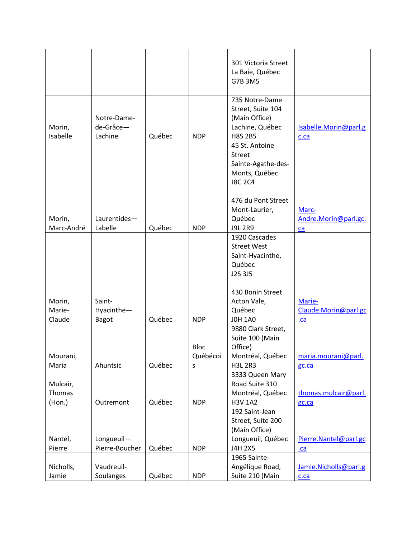|                              |                                      |        |                              | 301 Victoria Street<br>La Baie, Québec<br>G7B 3M5                                         |                                       |
|------------------------------|--------------------------------------|--------|------------------------------|-------------------------------------------------------------------------------------------|---------------------------------------|
| Morin,<br>Isabelle           | Notre-Dame-<br>de-Grâce-<br>Lachine  | Québec | <b>NDP</b>                   | 735 Notre-Dame<br>Street, Suite 104<br>(Main Office)<br>Lachine, Québec<br><b>H8S 2B5</b> | Isabelle.Morin@parl.g<br>c.ca         |
|                              |                                      |        |                              | 45 St. Antoine<br><b>Street</b><br>Sainte-Agathe-des-<br>Monts, Québec<br><b>J8C 2C4</b>  |                                       |
| Morin,<br>Marc-André         | Laurentides-<br>Labelle              | Québec | <b>NDP</b>                   | 476 du Pont Street<br>Mont-Laurier,<br>Québec<br><b>J9L 2R9</b>                           | Marc-<br>Andre.Morin@parl.gc.<br>ca   |
|                              |                                      |        |                              | 1920 Cascades<br><b>Street West</b><br>Saint-Hyacinthe,<br>Québec<br>J2S 3J5              |                                       |
| Morin,<br>Marie-<br>Claude   | Saint-<br>Hyacinthe-<br><b>Bagot</b> | Québec | <b>NDP</b>                   | 430 Bonin Street<br>Acton Vale,<br>Québec<br><b>JOH 1A0</b>                               | Marie-<br>Claude.Morin@parl.gc<br>.ca |
| Mourani,<br>Maria            | Ahuntsic                             | Québec | <b>Bloc</b><br>Québécoi<br>S | 9880 Clark Street,<br>Suite 100 (Main<br>Office)<br>Montréal, Québec<br><b>H3L 2R3</b>    | maria.mourani@parl.<br>gc.ca          |
| Mulcair,<br>Thomas<br>(Hon.) | Outremont                            | Québec | <b>NDP</b>                   | 3333 Queen Mary<br>Road Suite 310<br>Montréal, Québec<br><b>H3V 1A2</b>                   | thomas.mulcair@parl.<br>gc.ca         |
| Nantel,<br>Pierre            | Longueuil-<br>Pierre-Boucher         | Québec | <b>NDP</b>                   | 192 Saint-Jean<br>Street, Suite 200<br>(Main Office)<br>Longueuil, Québec<br>J4H 2X5      | Pierre.Nantel@parl.gc<br>$ca$         |
| Nicholls,<br>Jamie           | Vaudreuil-<br>Soulanges              | Québec | <b>NDP</b>                   | 1965 Sainte-<br>Angélique Road,<br>Suite 210 (Main                                        | Jamie.Nicholls@parl.g<br>c.ca         |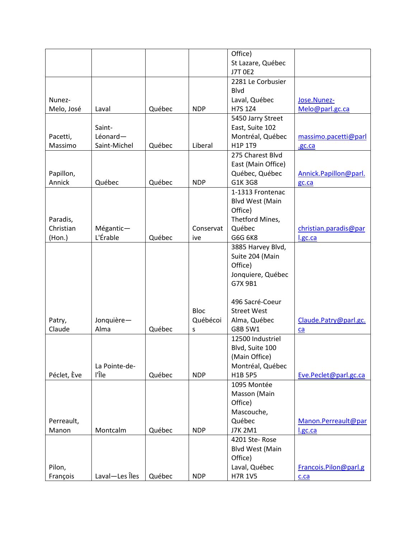|             |                |        |             | Office)                |                       |
|-------------|----------------|--------|-------------|------------------------|-----------------------|
|             |                |        |             | St Lazare, Québec      |                       |
|             |                |        |             | <b>J7T 0E2</b>         |                       |
|             |                |        |             | 2281 Le Corbusier      |                       |
|             |                |        |             | Blvd                   |                       |
| Nunez-      |                |        |             | Laval, Québec          | Jose.Nunez-           |
| Melo, José  | Laval          | Québec | <b>NDP</b>  | H7S 1Z4                | Melo@parl.gc.ca       |
|             |                |        |             | 5450 Jarry Street      |                       |
|             | Saint-         |        |             | East, Suite 102        |                       |
| Pacetti,    | Léonard-       |        |             | Montréal, Québec       | massimo.pacetti@parl  |
| Massimo     | Saint-Michel   | Québec | Liberal     | H1P 1T9                | .gc.ca                |
|             |                |        |             | 275 Charest Blvd       |                       |
|             |                |        |             | East (Main Office)     |                       |
| Papillon,   |                |        |             | Québec, Québec         | Annick.Papillon@parl. |
| Annick      | Québec         | Québec | <b>NDP</b>  | G1K 3G8                | gc.ca                 |
|             |                |        |             | 1-1313 Frontenac       |                       |
|             |                |        |             | <b>Blvd West (Main</b> |                       |
|             |                |        |             | Office)                |                       |
| Paradis,    |                |        |             | Thetford Mines,        |                       |
| Christian   | Mégantic-      |        | Conservat   | Québec                 | christian.paradis@par |
| (Hon.)      | L'Érable       | Québec | ive         | G6G 6K8                | l.gc.ca               |
|             |                |        |             | 3885 Harvey Blvd,      |                       |
|             |                |        |             | Suite 204 (Main        |                       |
|             |                |        |             | Office)                |                       |
|             |                |        |             | Jonquiere, Québec      |                       |
|             |                |        |             | G7X 9B1                |                       |
|             |                |        |             |                        |                       |
|             |                |        |             | 496 Sacré-Coeur        |                       |
|             |                |        | <b>Bloc</b> | <b>Street West</b>     |                       |
| Patry,      | Jonquière-     |        | Québécoi    | Alma, Québec           | Claude.Patry@parl.gc. |
| Claude      | Alma           | Québec | s           | G8B 5W1                | ca                    |
|             |                |        |             | 12500 Industriel       |                       |
|             |                |        |             | Blvd, Suite 100        |                       |
|             |                |        |             | (Main Office)          |                       |
|             | La Pointe-de-  |        |             | Montréal, Québec       |                       |
| Péclet, Ève | l'Île          | Québec | <b>NDP</b>  | <b>H1B 5P5</b>         | Eve.Peclet@parl.gc.ca |
|             |                |        |             | 1095 Montée            |                       |
|             |                |        |             | Masson (Main           |                       |
|             |                |        |             | Office)                |                       |
|             |                |        |             | Mascouche,             |                       |
| Perreault,  |                |        |             | Québec                 | Manon.Perreault@par   |
|             |                |        | <b>NDP</b>  |                        |                       |
| Manon       | Montcalm       | Québec |             | <b>J7K 2M1</b>         | I.gc.ca               |
|             |                |        |             | 4201 Ste-Rose          |                       |
|             |                |        |             | Blvd West (Main        |                       |
|             |                |        |             | Office)                |                       |
| Pilon,      |                |        |             | Laval, Québec          | Francois.Pilon@parl.g |
| François    | Laval-Les Îles | Québec | <b>NDP</b>  | <b>H7R 1V5</b>         | c.ca                  |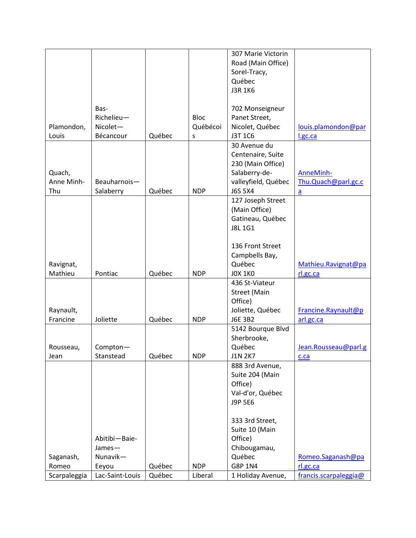|              |                 |        |             | 307 Marie Victorin  |                       |
|--------------|-----------------|--------|-------------|---------------------|-----------------------|
|              |                 |        |             | Road (Main Office)  |                       |
|              |                 |        |             | Sorel-Tracy,        |                       |
|              |                 |        |             | Québec              |                       |
|              |                 |        |             | <b>J3R 1K6</b>      |                       |
|              |                 |        |             |                     |                       |
|              | Bas-            |        |             | 702 Monseigneur     |                       |
|              | Richelieu-      |        | <b>Bloc</b> | Panet Street,       |                       |
| Plamondon,   | Nicolet-        |        | Québécoi    | Nicolet, Québec     | louis.plamondon@par   |
| Louis        | Bécancour       | Québec | s           | J3T 1C6             | l.gc.ca               |
|              |                 |        |             | 30 Avenue du        |                       |
|              |                 |        |             | Centenaire, Suite   |                       |
|              |                 |        |             | 230 (Main Office)   |                       |
| Quach,       |                 |        |             | Salaberry-de-       | AnneMinh-             |
| Anne Minh-   | Beauharnois-    |        |             | valleyfield, Québec | Thu.Quach@parl.gc.c   |
| Thu          | Salaberry       | Québec | <b>NDP</b>  | <b>J6S 5X4</b>      | $\overline{a}$        |
|              |                 |        |             | 127 Joseph Street   |                       |
|              |                 |        |             | (Main Office)       |                       |
|              |                 |        |             | Gatineau, Québec    |                       |
|              |                 |        |             | <b>J8L1G1</b>       |                       |
|              |                 |        |             |                     |                       |
|              |                 |        |             | 136 Front Street    |                       |
|              |                 |        |             | Campbells Bay,      |                       |
| Ravignat,    |                 |        |             | Québec              | Mathieu.Ravignat@pa   |
| Mathieu      | Pontiac         | Québec | <b>NDP</b>  | <b>JOX 1KO</b>      | rl.gc.ca              |
|              |                 |        |             | 436 St-Viateur      |                       |
|              |                 |        |             | <b>Street (Main</b> |                       |
|              |                 |        |             | Office)             |                       |
| Raynault,    |                 |        |             | Joliette, Québec    | Francine.Raynault@p   |
| Francine     | Joliette        | Québec | <b>NDP</b>  | J6E 3B2             | arl.gc.ca             |
|              |                 |        |             | 5142 Bourque Blvd   |                       |
|              |                 |        |             | Sherbrooke,         |                       |
| Rousseau,    | Compton-        |        |             | Québec              | Jean.Rousseau@parl.g  |
| Jean         | Stanstead       | Québec | <b>NDP</b>  | <b>J1N 2K7</b>      | c.ca                  |
|              |                 |        |             | 888 3rd Avenue,     |                       |
|              |                 |        |             | Suite 204 (Main     |                       |
|              |                 |        |             | Office)             |                       |
|              |                 |        |             | Val-d'or, Québec    |                       |
|              |                 |        |             | J9P 5E6             |                       |
|              |                 |        |             |                     |                       |
|              |                 |        |             | 333 3rd Street,     |                       |
|              |                 |        |             | Suite 10 (Main      |                       |
|              | Abitibi-Baie-   |        |             | Office)             |                       |
|              | James-          |        |             | Chibougamau,        |                       |
| Saganash,    | Nunavik-        |        |             | Québec              | Romeo.Saganash@pa     |
| Romeo        | Eeyou           | Québec | <b>NDP</b>  | G8P 1N4             | rl.gc.ca              |
| Scarpaleggia | Lac-Saint-Louis | Québec | Liberal     | 1 Holiday Avenue,   | francis.scarpaleggia@ |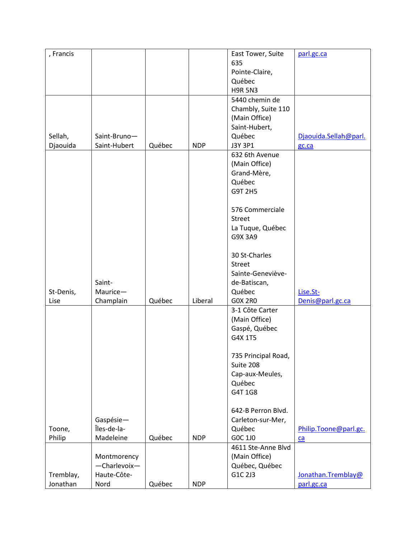| , Francis |                          |        |            | East Tower, Suite           | parl.gc.ca            |
|-----------|--------------------------|--------|------------|-----------------------------|-----------------------|
|           |                          |        |            | 635                         |                       |
|           |                          |        |            | Pointe-Claire,              |                       |
|           |                          |        |            | Québec                      |                       |
|           |                          |        |            | <b>H9R 5N3</b>              |                       |
|           |                          |        |            | 5440 chemin de              |                       |
|           |                          |        |            | Chambly, Suite 110          |                       |
|           |                          |        |            | (Main Office)               |                       |
|           |                          |        |            | Saint-Hubert,               |                       |
| Sellah,   | Saint-Bruno-             |        |            | Québec                      | Djaouida.Sellah@parl. |
| Djaouida  | Saint-Hubert             | Québec | <b>NDP</b> | J3Y 3P1                     | gc.ca                 |
|           |                          |        |            | 632 6th Avenue              |                       |
|           |                          |        |            | (Main Office)               |                       |
|           |                          |        |            | Grand-Mère,                 |                       |
|           |                          |        |            | Québec                      |                       |
|           |                          |        |            | G9T 2H5                     |                       |
|           |                          |        |            |                             |                       |
|           |                          |        |            | 576 Commerciale             |                       |
|           |                          |        |            | <b>Street</b>               |                       |
|           |                          |        |            | La Tuque, Québec            |                       |
|           |                          |        |            | G9X 3A9                     |                       |
|           |                          |        |            |                             |                       |
|           |                          |        |            | 30 St-Charles               |                       |
|           |                          |        |            | <b>Street</b>               |                       |
|           |                          |        |            | Sainte-Geneviève-           |                       |
|           | Saint-                   |        |            | de-Batiscan,                |                       |
| St-Denis, | Maurice-                 |        |            | Québec                      | Lise.St-              |
| Lise      | Champlain                | Québec | Liberal    | <b>GOX 2RO</b>              | Denis@parl.gc.ca      |
|           |                          |        |            | 3-1 Côte Carter             |                       |
|           |                          |        |            | (Main Office)               |                       |
|           |                          |        |            | Gaspé, Québec               |                       |
|           |                          |        |            | G4X 1T5                     |                       |
|           |                          |        |            |                             |                       |
|           |                          |        |            | 735 Principal Road,         |                       |
|           |                          |        |            | Suite 208                   |                       |
|           |                          |        |            |                             |                       |
|           |                          |        |            | Cap-aux-Meules,<br>Québec   |                       |
|           |                          |        |            | G4T 1G8                     |                       |
|           |                          |        |            |                             |                       |
|           |                          |        |            | 642-B Perron Blvd.          |                       |
|           |                          |        |            |                             |                       |
|           | Gaspésie-<br>Îles-de-la- |        |            | Carleton-sur-Mer,<br>Québec |                       |
| Toone,    | Madeleine                |        | <b>NDP</b> | GOC 1J0                     | Philip.Toone@parl.gc. |
| Philip    |                          | Québec |            |                             | ca                    |
|           |                          |        |            | 4611 Ste-Anne Blvd          |                       |
|           | Montmorency              |        |            | (Main Office)               |                       |
|           | -Charlevoix-             |        |            | Québec, Québec              |                       |
| Tremblay, | Haute-Côte-              |        |            | G1C 2J3                     | Jonathan.Tremblay@    |
| Jonathan  | Nord                     | Québec | <b>NDP</b> |                             | parl.gc.ca            |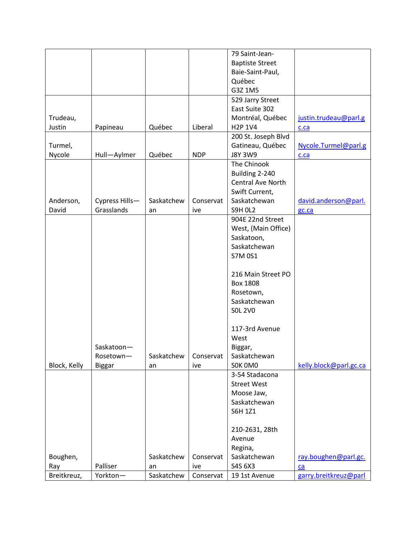|              |                |            |            | 79 Saint-Jean-         |                        |
|--------------|----------------|------------|------------|------------------------|------------------------|
|              |                |            |            | <b>Baptiste Street</b> |                        |
|              |                |            |            | Baie-Saint-Paul,       |                        |
|              |                |            |            | Québec                 |                        |
|              |                |            |            | G3Z 1M5                |                        |
|              |                |            |            | 529 Jarry Street       |                        |
|              |                |            |            | East Suite 302         |                        |
| Trudeau,     |                |            |            | Montréal, Québec       | justin.trudeau@parl.g  |
| Justin       | Papineau       | Québec     | Liberal    | H2P 1V4                | c.ca                   |
|              |                |            |            | 200 St. Joseph Blvd    |                        |
| Turmel,      |                |            |            | Gatineau, Québec       | Nycole.Turmel@parl.g   |
|              |                | Québec     |            |                        |                        |
| Nycole       | Hull-Aylmer    |            | <b>NDP</b> | <b>J8Y 3W9</b>         | c.ca                   |
|              |                |            |            | The Chinook            |                        |
|              |                |            |            | Building 2-240         |                        |
|              |                |            |            | Central Ave North      |                        |
|              |                |            |            | Swift Current,         |                        |
| Anderson,    | Cypress Hills- | Saskatchew | Conservat  | Saskatchewan           | david.anderson@parl.   |
| David        | Grasslands     | an         | ive        | <b>S9H OL2</b>         | gc.ca                  |
|              |                |            |            | 904E 22nd Street       |                        |
|              |                |            |            | West, (Main Office)    |                        |
|              |                |            |            | Saskatoon,             |                        |
|              |                |            |            | Saskatchewan           |                        |
|              |                |            |            | <b>S7M 0S1</b>         |                        |
|              |                |            |            |                        |                        |
|              |                |            |            | 216 Main Street PO     |                        |
|              |                |            |            | <b>Box 1808</b>        |                        |
|              |                |            |            | Rosetown,              |                        |
|              |                |            |            | Saskatchewan           |                        |
|              |                |            |            | <b>SOL 2VO</b>         |                        |
|              |                |            |            |                        |                        |
|              |                |            |            | 117-3rd Avenue         |                        |
|              |                |            |            | West                   |                        |
|              | Saskatoon-     |            |            | Biggar,                |                        |
|              | Rosetown-      | Saskatchew | Conservat  | Saskatchewan           |                        |
|              |                |            |            | SOK OMO                | kelly.block@parl.gc.ca |
| Block, Kelly | <b>Biggar</b>  | an         | ive        | 3-54 Stadacona         |                        |
|              |                |            |            |                        |                        |
|              |                |            |            | <b>Street West</b>     |                        |
|              |                |            |            | Moose Jaw,             |                        |
|              |                |            |            | Saskatchewan           |                        |
|              |                |            |            | S6H 1Z1                |                        |
|              |                |            |            |                        |                        |
|              |                |            |            | 210-2631, 28th         |                        |
|              |                |            |            | Avenue                 |                        |
|              |                |            |            | Regina,                |                        |
| Boughen,     |                | Saskatchew | Conservat  | Saskatchewan           | ray.boughen@parl.gc.   |
| Ray          | Palliser       | an         | ive        | S4S 6X3                | ca                     |
| Breitkreuz,  | Yorkton-       | Saskatchew | Conservat  | 19 1st Avenue          | garry.breitkreuz@parl  |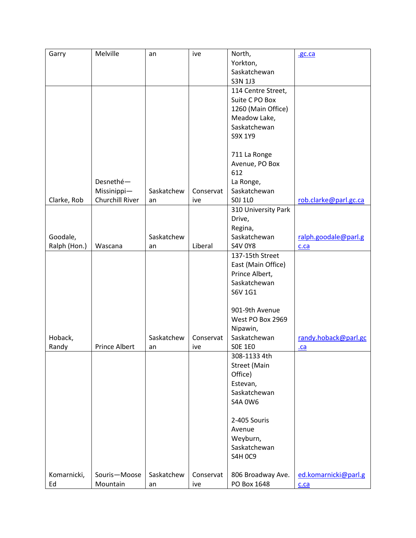| Garry        | Melville        | an         | ive       | North,                   | .gc.ca                |
|--------------|-----------------|------------|-----------|--------------------------|-----------------------|
|              |                 |            |           | Yorkton,                 |                       |
|              |                 |            |           | Saskatchewan             |                       |
|              |                 |            |           | S3N 1J3                  |                       |
|              |                 |            |           | 114 Centre Street,       |                       |
|              |                 |            |           | Suite C PO Box           |                       |
|              |                 |            |           | 1260 (Main Office)       |                       |
|              |                 |            |           | Meadow Lake,             |                       |
|              |                 |            |           | Saskatchewan             |                       |
|              |                 |            |           | S9X 1Y9                  |                       |
|              |                 |            |           |                          |                       |
|              |                 |            |           | 711 La Ronge             |                       |
|              |                 |            |           | Avenue, PO Box           |                       |
|              |                 |            |           | 612                      |                       |
|              | Desnethé-       |            |           | La Ronge,                |                       |
|              | Missinippi-     | Saskatchew | Conservat | Saskatchewan             |                       |
| Clarke, Rob  | Churchill River | an         | ive       | S0J 1L0                  | rob.clarke@parl.gc.ca |
|              |                 |            |           | 310 University Park      |                       |
|              |                 |            |           | Drive,                   |                       |
|              |                 |            |           | Regina,                  |                       |
| Goodale,     |                 | Saskatchew |           | Saskatchewan             | ralph.goodale@parl.g  |
| Ralph (Hon.) | Wascana         | an         | Liberal   | <b>S4V 0Y8</b>           | c.ca                  |
|              |                 |            |           | 137-15th Street          |                       |
|              |                 |            |           | East (Main Office)       |                       |
|              |                 |            |           | Prince Albert,           |                       |
|              |                 |            |           | Saskatchewan             |                       |
|              |                 |            |           | S6V 1G1                  |                       |
|              |                 |            |           | 901-9th Avenue           |                       |
|              |                 |            |           | West PO Box 2969         |                       |
|              |                 |            |           |                          |                       |
| Hoback,      |                 | Saskatchew | Conservat | Nipawin,<br>Saskatchewan |                       |
| Randy        | Prince Albert   |            | ive       | <b>SOE 1EO</b>           | randy.hoback@parl.gc  |
|              |                 | an         |           | 308-1133 4th             | $ca$                  |
|              |                 |            |           | <b>Street (Main</b>      |                       |
|              |                 |            |           |                          |                       |
|              |                 |            |           | Office)                  |                       |
|              |                 |            |           | Estevan,<br>Saskatchewan |                       |
|              |                 |            |           |                          |                       |
|              |                 |            |           | <b>S4A 0W6</b>           |                       |
|              |                 |            |           | 2-405 Souris             |                       |
|              |                 |            |           | Avenue                   |                       |
|              |                 |            |           | Weyburn,                 |                       |
|              |                 |            |           | Saskatchewan             |                       |
|              |                 |            |           | <b>S4H 0C9</b>           |                       |
|              |                 |            |           |                          |                       |
| Komarnicki,  | Souris-Moose    | Saskatchew | Conservat | 806 Broadway Ave.        | ed.komarnicki@parl.g  |
| Ed           | Mountain        | an         | ive       | PO Box 1648              | c.ca                  |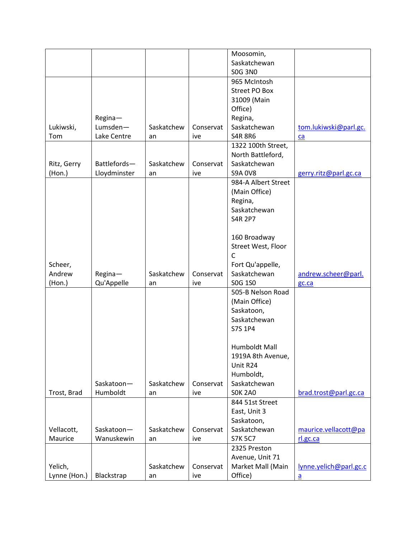|              |                     |            |           | Moosomin,            |                        |
|--------------|---------------------|------------|-----------|----------------------|------------------------|
|              |                     |            |           | Saskatchewan         |                        |
|              |                     |            |           | <b>SOG 3NO</b>       |                        |
|              |                     |            |           | 965 McIntosh         |                        |
|              |                     |            |           | <b>Street PO Box</b> |                        |
|              |                     |            |           | 31009 (Main          |                        |
|              |                     |            |           | Office)              |                        |
|              |                     |            |           | Regina,              |                        |
|              | Regina-<br>Lumsden- |            |           | Saskatchewan         |                        |
| Lukiwski,    |                     | Saskatchew | Conservat |                      | tom.lukiwski@parl.gc.  |
| Tom          | Lake Centre         | an         | ive       | <b>S4R 8R6</b>       | ca                     |
|              |                     |            |           | 1322 100th Street,   |                        |
|              |                     |            |           | North Battleford,    |                        |
| Ritz, Gerry  | Battlefords-        | Saskatchew | Conservat | Saskatchewan         |                        |
| $($ Hon. $)$ | Lloydminster        | an         | ive       | <b>S9A 0V8</b>       | gerry.ritz@parl.gc.ca  |
|              |                     |            |           | 984-A Albert Street  |                        |
|              |                     |            |           | (Main Office)        |                        |
|              |                     |            |           | Regina,              |                        |
|              |                     |            |           | Saskatchewan         |                        |
|              |                     |            |           | <b>S4R 2P7</b>       |                        |
|              |                     |            |           |                      |                        |
|              |                     |            |           | 160 Broadway         |                        |
|              |                     |            |           | Street West, Floor   |                        |
|              |                     |            |           | $\mathsf{C}$         |                        |
| Scheer,      |                     |            |           | Fort Qu'appelle,     |                        |
| Andrew       | Regina-             | Saskatchew | Conservat | Saskatchewan         | andrew.scheer@parl.    |
| (Hon.)       | Qu'Appelle          | an         | ive       | S0G 1S0              | gc.ca                  |
|              |                     |            |           | 505-B Nelson Road    |                        |
|              |                     |            |           | (Main Office)        |                        |
|              |                     |            |           | Saskatoon,           |                        |
|              |                     |            |           | Saskatchewan         |                        |
|              |                     |            |           | S7S 1P4              |                        |
|              |                     |            |           |                      |                        |
|              |                     |            |           | Humboldt Mall        |                        |
|              |                     |            |           | 1919A 8th Avenue,    |                        |
|              |                     |            |           | Unit R24             |                        |
|              |                     |            |           | Humboldt,            |                        |
|              | Saskatoon-          | Saskatchew | Conservat | Saskatchewan         |                        |
|              |                     |            |           |                      |                        |
| Trost, Brad  | Humboldt            | an         | ive       | <b>SOK 2A0</b>       | brad.trost@parl.gc.ca  |
|              |                     |            |           | 844 51st Street      |                        |
|              |                     |            |           | East, Unit 3         |                        |
|              |                     |            |           | Saskatoon,           |                        |
| Vellacott,   | Saskatoon-          | Saskatchew | Conservat | Saskatchewan         | maurice.vellacott@pa   |
| Maurice      | Wanuskewin          | an         | ive       | <b>S7K 5C7</b>       | rl.gc.ca               |
|              |                     |            |           | 2325 Preston         |                        |
|              |                     |            |           | Avenue, Unit 71      |                        |
| Yelich,      |                     | Saskatchew | Conservat | Market Mall (Main    | lynne.yelich@parl.gc.c |
| Lynne (Hon.) | Blackstrap          | an         | ive       | Office)              | $\underline{a}$        |